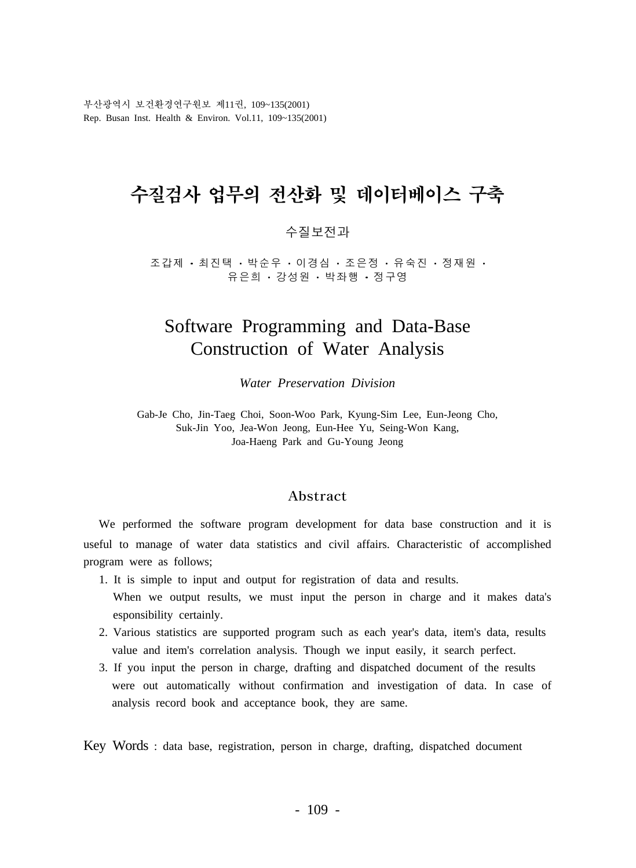부산광역시 보건환경연구원보 제11권, 109~135(2001) Rep. Busan Inst. Health & Environ. Vol.11, 109~135(2001)

# 수질검사 업무의 전산화 및 데이터베이스 구축

#### 수질보전과

조갑제 ㆍ 최 진 택 ㆍ 박 순 우 ㆍ 이 경 심 ㆍ 조 은 정 ㆍ 유 숙 진 ㆍ 정 재 원 유은희 · 강성원 · 박좌행 · 정구영

# Software Programming and Data-Base Construction of Water Analysis

*Water Preservation Division*

Gab-Je Cho, Jin-Taeg Choi, Soon-Woo Park, Kyung-Sim Lee, Eun-Jeong Cho, Suk-Jin Yoo, Jea-Won Jeong, Eun-Hee Yu, Seing-Won Kang, Joa-Haeng Park and Gu-Young Jeong

#### Abstract

We performed the software program development for data base construction and it is useful to manage of water data statistics and civil affairs. Characteristic of accomplished program were as follows;

- 1. It is simple to input and output for registration of data and results. When we output results, we must input the person in charge and it makes data's esponsibility certainly.
- 2. Various statistics are supported program such as each year's data, item's data, results value and item's correlation analysis. Though we input easily, it search perfect.
- 3. If you input the person in charge, drafting and dispatched document of the results were out automatically without confirmation and investigation of data. In case of analysis record book and acceptance book, they are same.

Key Words : data base, registration, person in charge, drafting, dispatched document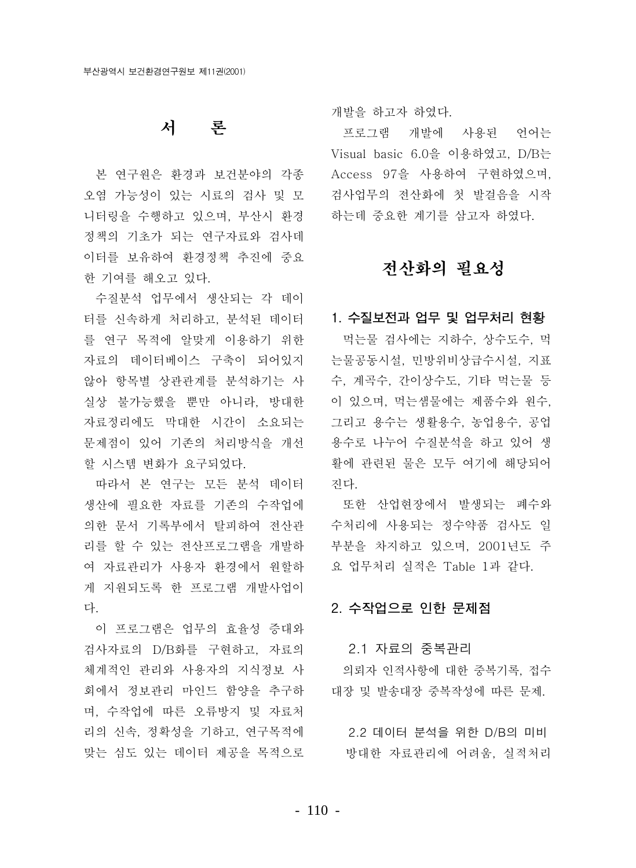# 서 론

본 연구원은 환경과 보건분야의 각종 오염 가능성이 있는 시료의 검사 및 모 니터링을 수행하고 있으며, 부산시 화경 정책의 기초가 되는 연구자료와 검사데 이터를 보유하여 환경정책 추진에 중요 한 기여를 해오고 있다.

수질분석 업무에서 생산되는 각 데이 터를 신속하게 처리하고, 분석된 데이터 1. 수질보전과 업무 및 업무처리 현황 를 연구 목적에 알맞게 이용하기 위한 자료의 데이터베이스 구축이 되어있지 않아 항목별 상관관계를 분석하기는 사 실상 불가능했을 뿐만 아니라, 방대한 자료정리에도 막대한 시간이 소요되는 문제점이 있어 기존의 처리방식을 개선 할 시스템 변화가 요구되었다.

따라서 본 연구는 모든 분석 데이터 생산에 필요한 자료를 기존의 수작업에 의한 문서 기록부에서 탈피하여 전산관 리를 할 수 있는 전산프로그램을 개발하 여 자료관리가 사용자 환경에서 워할하 게 지원되도록 한 프로그램 개발사업이 다.

이 프로그램은 업무의 효율성 증대와 검사자료의 D/B화를 구현하고, 자료의 체계적인 관리와 사용자의 지식정보 사 회에서 정보관리 마인드 함양을 추구하 며, 수작업에 따른 오류방지 및 자료처 리의 신속, 정확성을 기하고, 연구목적에 맞는 심도 있는 데이터 제공을 목적으로

개발을 하고자 하였다.

프로그램 개발에 사용된 언어는 Visual basic 6.0을 이용하였고, D/B는 Access 97을 사용하여 구현하였으며, 검사업무의 전산화에 첫 발걸음을 시작 하는데 중요한 계기를 삼고자 하였다.

# 전산화의 필요성

먹는물 검사에는 지하수. 상수도수. 먹 는물공동시설, 민방위비상급수시설, 지표 수, 계곡수, 간이상수도, 기타 먹는물 등 이 있으며, 먹는샘물에는 제품수와 원수, 그리고 용수는 생활용수, 농업용수, 공업 용수로 나누어 수질분석을 하고 있어 생 활에 관련된 물은 모두 여기에 해당되어 진다.

또한 산업현장에서 발생되는 폐수와 수처리에 사용되는 정수약품 검사도 일 부분을 차지하고 있으며, 2001년도 주 요 업무처리 실적은 Table 1과 같다.

#### 2. 수작업으로 인한 문제점

#### 2.1 자료의 중복관리

의뢰자 인적사항에 대한 중복기록, 접수 대장 및 발송대장 중복작성에 따른 문제.

2.2 데이터 분석을 위한 D/B의 미비 방대한 자료관리에 어려움, 실적처리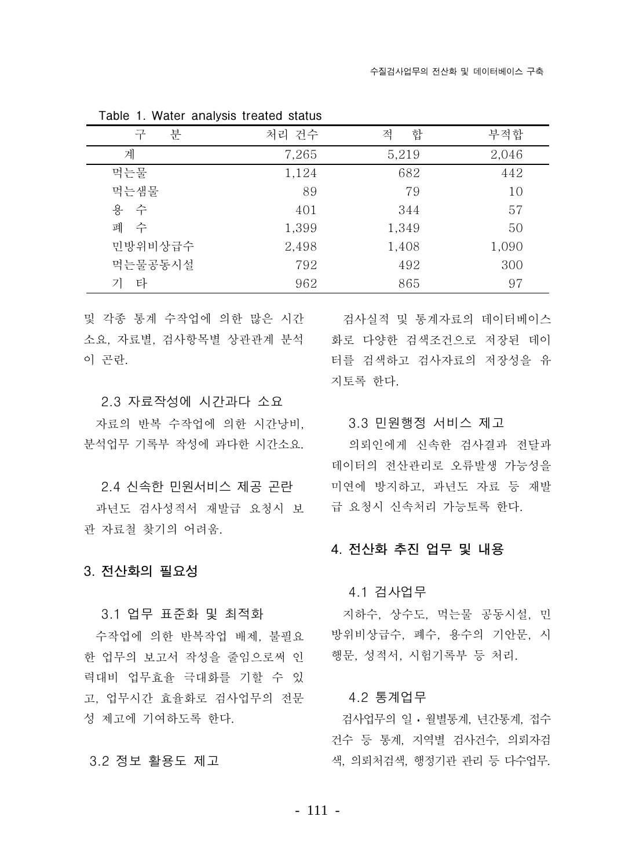| 분<br>구  | 처리 건수 | 합<br>적 | 부적합   |
|---------|-------|--------|-------|
| 계       | 7,265 | 5,219  | 2,046 |
| 먹는물     | 1,124 | 682    | 442   |
| 먹는샘물    | 89    | 79     | 10    |
| 용 수     | 401   | 344    | 57    |
| 폐 수     | 1,399 | 1,349  | 50    |
| 민방위비상급수 | 2,498 | 1,408  | 1,090 |
| 먹는물공동시설 | 792   | 492    | 300   |
| 타       | 962   | 865    | 97    |

Table 1. Water analysis treated status

및 각종 통계 수작업에 의한 많은 시간 검사실적 및 통계자료의 데이터베이스 소요. 자료별. 검사항목별 상관관계 분석 화로 다양한 검색조건으로 저장된 데이 이 곤란.

#### 2.3 자료작성에 시간과다 소요

자료의 반복 수작업에 의한 시간낭비. ...... 3.3 민원행정 서비스 제고 분석업무 기록부 작성에 과다한 시간소요.

#### 2.4 신속한 민원서비스 제공 곤란

과년도 검사성적서 재발급 요청시 보 관 자료철 찾기의 어려움.

3. 전산화의 필요성

3.1 업무 표준화 및 최적화

수작업에 의한 반복작업 배제, 불필요 한 업무의 보고서 작성을 줄임으로써 인 력대비 업무효율 극대화를 기할 수 있 고, 업무시간 효율화로 검사업무의 전문 성 제고에 기여하도록 하다.

#### 3.2 정보 활용도 제고

터를 검색하고 검사자료의 저장성을 유 지토록 하다.

의뢰인에게 신속한 검사결과 전달과 데이터의 전산관리로 오류발생 가능성을 미연에 방지하고, 과년도 자료 등 재발 급 요청시 신속처리 가능토록 하다.

#### 4. 전산화 추진 업무 및 내용

#### 4.1 검사업무

지하수, 상수도, 먹는물 공동시설, 민 방위비상급수, 폐수, 용수의 기안문, 시 행문, 성적서, 시험기록부 등 처리.

#### 4.2 통계업무

검사업무의 일 · 월별통계, 년간통계, 접수 건수 등 통계, 지역별 검사건수, 의뢰자검 색, 의뢰처검색, 행정기관 관리 등 다수업무.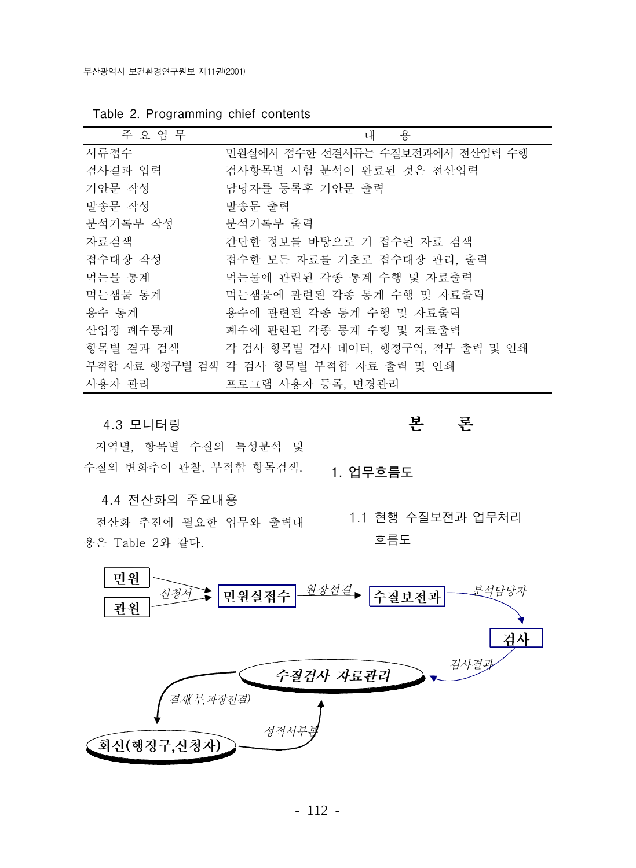| 주 요 업 무   | 내<br>용                                 |
|-----------|----------------------------------------|
| 서류접수      | 민원실에서 접수한 선결서류는 수질보전과에서 전산입력 수행        |
| 검사결과 입력   | 검사항목별 시험 분석이 완료된 것은 전산입력               |
| 기안문 작성    | 담당자를 등록후 기안문 출력                        |
| 발송문 작성    | 발송문 출력                                 |
| 분석기록부 작성  | 분석기록부 출력                               |
| 자료검색      | 간단한 정보를 바탕으로 기 접수된 자료 검색               |
| 접수대장 작성   | 접수한 모든 자료를 기초로 접수대장 관리, 출력             |
| 먹는물 통계    | 먹는물에 관련된 각종 통계 수행 및 자료출력               |
| 먹는샘물 통계   | 먹는샘물에 관련된 각종 통계 수행 및 자료출력              |
| 용수 통계     | 용수에 관련된 각종 통계 수행 및 자료출력                |
| 산업장 폐수통계  | 폐수에 관련된 각종 통계 수행 및 자료출력                |
| 항목별 결과 검색 | 각 검사 항목별 검사 데이터, 행정구역, 적부 출력 및 인쇄      |
|           | 부적합 자료 행정구별 검색 각 검사 항목별 부적합 자료 출력 및 인쇄 |
| 사용자 관리    | 프로그램 사용자 등록, 변경관리                      |

Table 2. Programming chief contents

4.3 모니터링

지역별, 항목별 수질의 특성분석 및 수질의 변화추이 관찰, 부적합 항목검색.

4.4 전산화의 주요내용

전산화 추진에 필요한 업무와 출력내 용은 Table 2와 같다.

## 본 론

1. 업무흐름도

1.1 현행 수질보전과 업무처리 흐름도

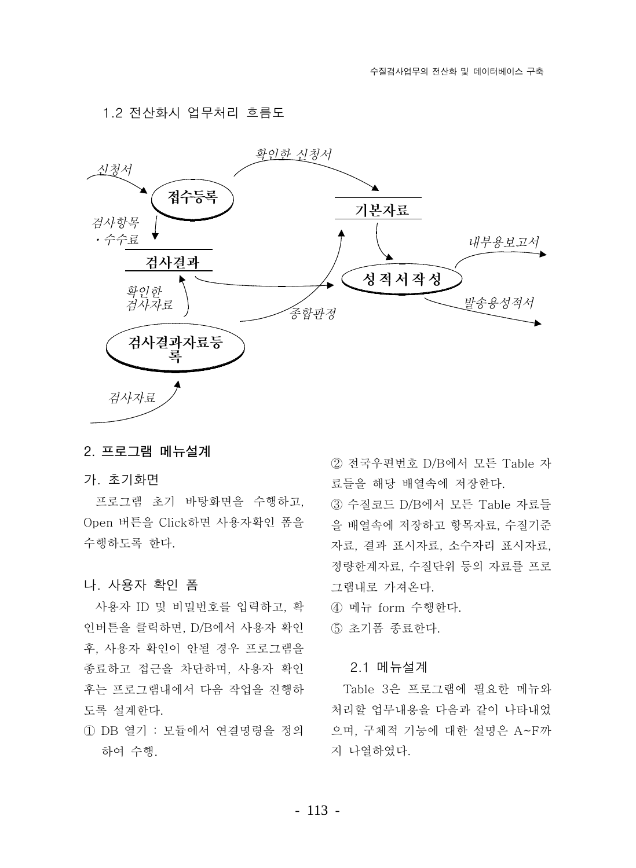1.2 전산화시 업무처리 흐름도



#### 2. 프로그램 메뉴설계

#### 가. 초기화면

프로그램 초기 바탕화면을 수행하고, Open 버튼을 Click하면 사용자확인 폼을 수행하도록 하다.

#### 나. 사용자 확인 폼

사용자 ID 및 비밀번호를 입력하고, 확 인버튼을 클릭하면, D/B에서 사용자 확인 후, 사용자 확인이 안될 경우 프로그램을 종료하고 접근을 차단하며, 사용자 확인 후는 프로그램내에서 다음 작업을 진행하 도록 설계한다.

1 DB 열기 : 모듈에서 연결명령을 정의 하여 수행.

2 전국우편번호 D/B에서 모든 Table 자 료들을 해당 배열속에 저장한다.

3 수질코드 D/B에서 모든 Table 자료들 을 배열속에 저장하고 항목자료, 수질기준 자료, 결과 표시자료, 소수자리 표시자료, 정량한계자료, 수질단위 등의 자료를 프로 그램내로 가져온다.

4) 메뉴 form 수행한다.

5 초기폼 종료한다.

#### 2.1 메뉴설계

Table 3은 프로그램에 필요한 메뉴와 처리할 업무내용을 다음과 같이 나타내었 으며, 구체적 기능에 대한 설명은 A~F까 지 나열하였다.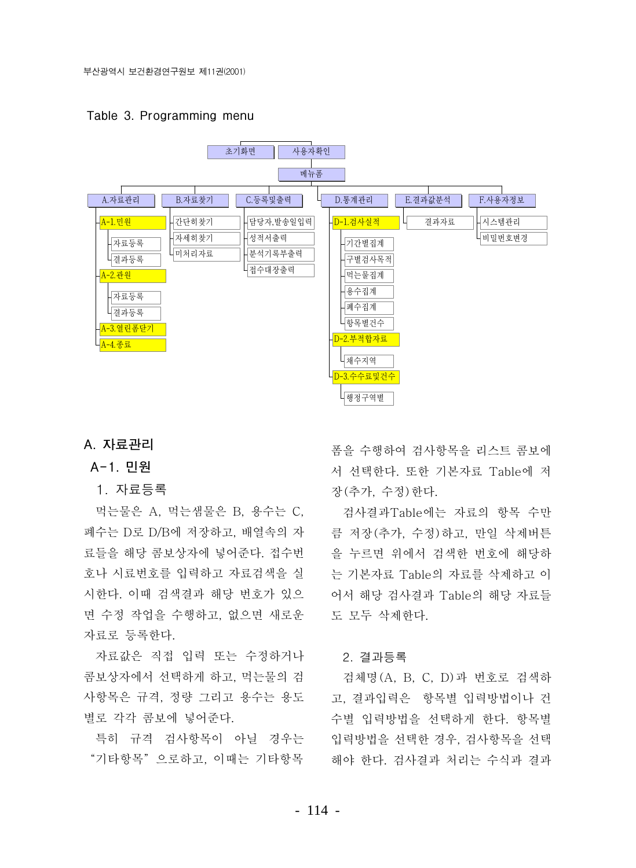Table 3. Programming menu



#### A. 자료관리

#### A-1. 민원

#### 1. 자료등록

먹는물은 A, 먹는샘물은 B, 용수는 C, 폐수는 D로 D/B에 저장하고. 배열속의 자 료들을 해당 콤보상자에 넣어준다. 접수번 호나 시료번호를 입력하고 자료검색을 실 시한다. 이때 검색결과 해당 번호가 있으 면 수정 작업을 수행하고, 없으면 새로운 자료로 등록한다.

자료값은 직접 입력 또는 수정하거나 콤보상자에서 선택하게 하고. 먹는물의 검 사항목은 규격, 정량 그리고 용수는 용도 별로 각각 콤보에 넣어준다.

특히 규격 검사항목이 아닐 경우는 "기타항목"으로하고. 이때는 기타항목

폼을 수행하여 검사항목을 리스트 콤보에 서 선택하다. 또한 기본자료 Table에 저 장(추가, 수정) 하다.

검사결과Table에는 자료의 항목 수만 큼 저장(추가, 수정)하고, 만일 삭제버튼 을 누르면 위에서 검색한 번호에 해당하 는 기본자료 Table의 자료를 삭제하고 이 어서 해당 검사결과 Table의 해당 자료들 도 모두 삭제하다.

#### 2. 결과등록

검체명 (A, B, C, D)과 번호로 검색하 고, 결과입력은 항목별 입력방법이나 건 수별 입력방법을 선택하게 하다. 항목별 입력방법을 선택한 경우, 검사항목을 선택 해야 한다. 검사결과 처리는 수식과 결과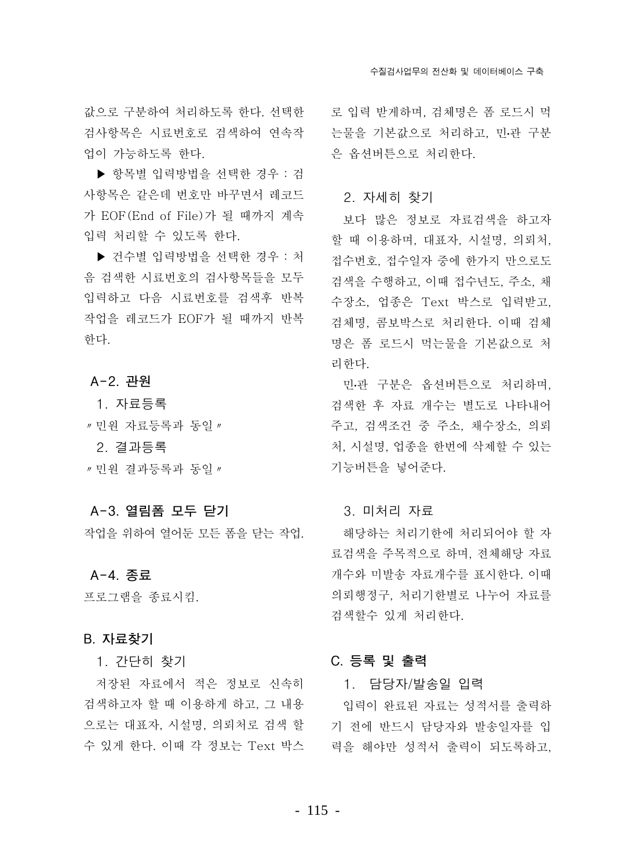값으로 구분하여 처리하도록 하다. 서택하 검사항목은 시료번호로 검색하여 연속작 · 는물을 기본값으로 처리하고, 민관 구분 업이 가능하도록 한다.

▶ 항목별 입력방법을 선택한 경우 : 검 사항목은 같은데 번호만 바꾸면서 레코드 가 EOF(End of File)가 될 때까지 계속 입력 처리할 수 있도록 한다.

▶ 건수별 입력방법을 선택한 경우 : 처 음 검색한 시료번호의 검사항목들을 모두 입력하고 다음 시료번호를 검색후 반복 작업을 레코드가 EOF가 될 때까지 반복 한다.

A-2. 관원

1. 자료등록

" 민원 자료등록과 동일 "

2. 결과등록

" 민원 결과등록과 동일 "

#### A-3. 열림폼 모두 닫기

작업을 위하여 열어둔 모든 폼을 닫는 작업.

A-4. 종료

## 프로그램을 종료시킴.

#### B. 자료찾기

1. 간단히 찾기

저장된 자료에서 적은 정보로 신속히 검색하고자 할 때 이용하게 하고, 그 내용 으로는 대표자, 시설명, 의뢰처로 검색 할 수 있게 한다. 이때 각 정보는 Text 박스

로 입력 받게하며, 검체명은 폼 로드시 먹 은 옵션버튼으로 처리한다.

#### 2. 자세히 찾기

보다 많은 정보로 자료검색을 하고자 할 때 이용하며, 대표자, 시설명, 의뢰처, 접수번호, 접수일자 중에 한가지 만으로도 검색을 수행하고, 이때 접수년도, 주소, 채 수장소, 업종은 Text 박스로 입력받고, 검체명. 콤보박스로 처리한다. 이때 검체 명은 폼 로드시 먹는물을 기본값으로 처 리하다.

민관 구분은 옵션버튼으로 처리하며, 검색한 후 자료 개수는 별도로 나타내어 주고, 검색조건 중 주소, 채수장소, 의뢰 처. 시설명. 업종을 한번에 삭제할 수 있는 기능버튼을 넣어준다.

#### 3. 미처리 자료

해당하는 처리기한에 처리되어야 할 자 료검색을 주목적으로 하며, 전체해당 자료 개수와 미발송 자료개수를 표시한다. 이때 의뢰행정구. 처리기한별로 나누어 자료를 검색할수 있게 처리하다.

#### C. 등록 및 출력

#### 1. 담당자/발송일 입력

입력이 완료된 자료는 성적서를 출력하 기 전에 반드시 담당자와 발송일자를 입 력을 해야만 성적서 출력이 되도록하고,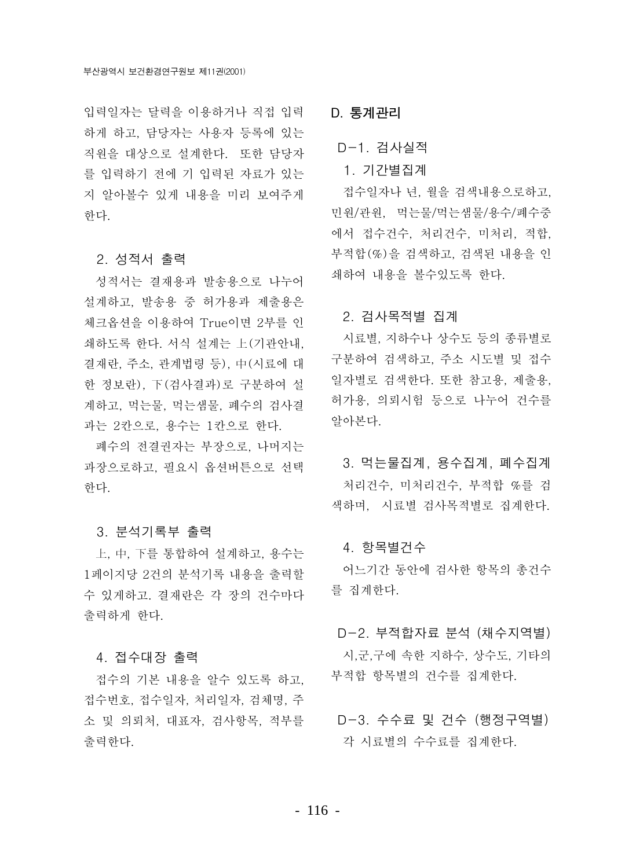입력일자는 달력을 이용하거나 직접 입력 하게 하고, 담당자는 사용자 등록에 있는 직원을 대상으로 설계한다. 또한 담당자 를 입력하기 전에 기 입력된 자료가 있는 지 알아볼수 있게 내용을 미리 보여주게 하다.

#### 2. 성적서 출력

성적서는 결재용과 발송용으로 나누어 설계하고, 발송용 중 허가용과 제출용은 체크옵션을 이용하여 True이면 2부를 인 쇄하도록 하다. 서식 설계는 上(기관안내. 결재란 주소 관계법령 등) 中(시료에 대 한 정보란), 下(검사결과)로 구분하여 설 계하고, 먹는물, 먹는샘물, 폐수의 검사결 과는 2칸으로, 용수는 1칸으로 한다.

폐수의 전결권자는 부장으로, 나머지는 과장으로하고, 필요시 옵션버튼으로 선택 한다.

#### 3. 분석기록부 출력

上, 中, 下를 통합하여 설계하고, 용수는 1페이지당 2건의 분석기록 내용을 출력할 수 있게하고. 결재란은 각 장의 건수마다 출력하게 하다.

#### 4. 접수대장 출력

접수의 기본 내용을 알수 있도록 하고, 접수번호, 접수일자, 처리일자, 검체명, 주 소 및 의뢰처, 대표자, 검사항목, 적부를 <br />
D-3. 수수료 및 건수 (행정구역별) 출력한다.

#### D. 통계관리

## D-1. 검사실적

1. 기가별집계

접수일자나 년, 월을 검색내용으로하고, 민원/관원, 먹는물/먹는샘물/용수/폐수중 에서 접수건수, 처리건수, 미처리, 적합, 부적합(%)을 검색하고, 검색된 내용을 인 쇄하여 내용을 볼수있도록 한다.

#### 2. 검사목적별 집계

시료별, 지하수나 상수도 등의 종류별로 구분하여 검색하고, 주소 시도별 및 접수 일자별로 검색한다. 또한 참고용. 제출용. 허가용, 의뢰시험 등으로 나누어 건수를 알아본다.

# 3. 먹는물집계, 용수집계, 폐수집계 처리건수, 미처리건수, 부적합 %를 검 색하며, 시료별 검사목적별로 집계한다.

#### 4. 항목별건수

어느기간 동안에 검사한 항목의 총건수 를 집계한다.

#### D-2. 부적합자료 분석 (채수지역별)

시 군 구에 속한 지하수, 상수도, 기타의 부적합 항목별의 건수를 집계한다.

# 각 시료별의 수수료를 집계한다.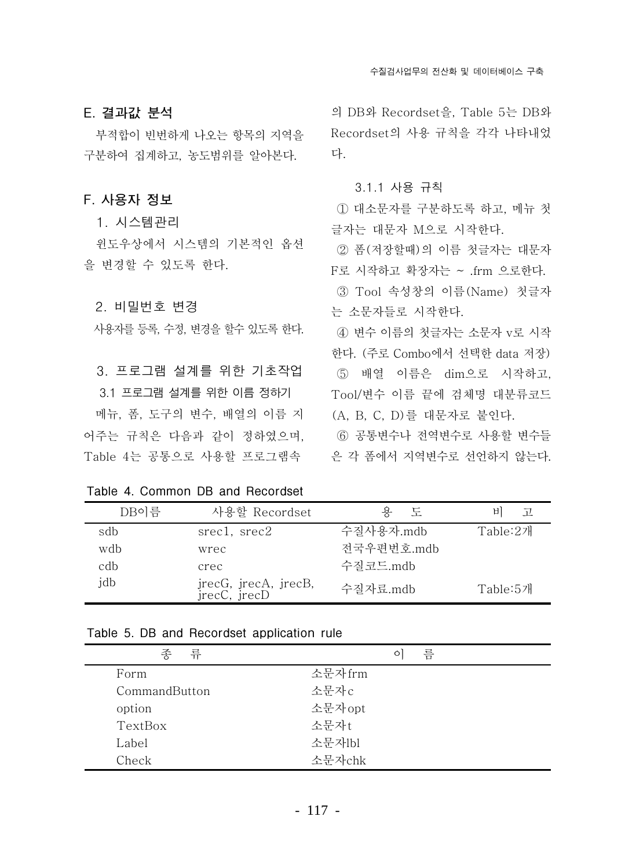E. 결과값 분석

부적합이 빈번하게 나오는 항목의 지역을 구분하여 집계하고. 농도범위를 알아본다.

#### F. 사용자 정보

1. 시스템관리

윈도우상에서 시스템의 기본적인 옵션 을 변경할 수 있도록 한다.

#### 2. 비밀번호 변경

사용자를 등록, 수정, 변경을 할수 있도록 한다.

3. 프로그램 설계를 위한 기초작업 3.1 프로그램 설계를 위한 이름 정하기 메뉴. 폼. 도구의 변수. 배열의 이름 지 어주는 규칙은 다음과 같이 정하였으며.

Table 4. Common DB and Recordset

의 DB와 Recordset을, Table 5는 DB와 Recordset의 사용 규칙을 각각 나타내었 다.

#### 3.1.1 사용 규칙

1) 대소문자를 구분하도록 하고. 메뉴 첫 글자는 대문자 M으로 시작한다.

② 폼 (저장할때)의 이름 첫글자는 대문자 F로 시작하고 확장자는 ~ .frm 으로한다.

3 Tool 속성창의 이름 (Name) 첫글자 는 소문자들로 시작하다.

4) 변수 이름의 첫글자는 소문자 v로 시작 한다. (주로 Combo에서 선택한 data 저장) 5 배열 이름은 dim으로 시작하고, Tool/변수 이름 끝에 검체명 대분류코드 (A, B, C, D)를 대문자로 붙인다.

6) 공통변수나 전역변수로 사용할 변수들 Table 4는 공통으로 사용할 프로그램속 ... 은 각 폼에서 지역변수로 선언하지 않는다.

| DB이름 | 사용할 Recordset                        | 도<br>용     | 비<br>고   |
|------|--------------------------------------|------------|----------|
| sdb  | $\text{src1}, \text{src2}$           | 수질사용자.mdb  | Table:2개 |
| wdb  | wrec                                 | 전국우편번호.mdb |          |
| cdb  | crec                                 | 수질코드.mdb   |          |
| idb  | jrecG, jrecA, jrecB,<br>jrecC, jrecD | 수질자료.mdb   | Table:5개 |

|  | Table 5. DB and Recordset application rule |
|--|--------------------------------------------|
|--|--------------------------------------------|

| 종<br>류        | 름<br>$\circ$ |  |
|---------------|--------------|--|
| Form          | 소문자frm       |  |
| CommandButton | 소문자c         |  |
| option        | 소문자opt       |  |
| TextBox       | 소문자t         |  |
| Label         | 소문자lbl       |  |
| Check         | 소문자chk       |  |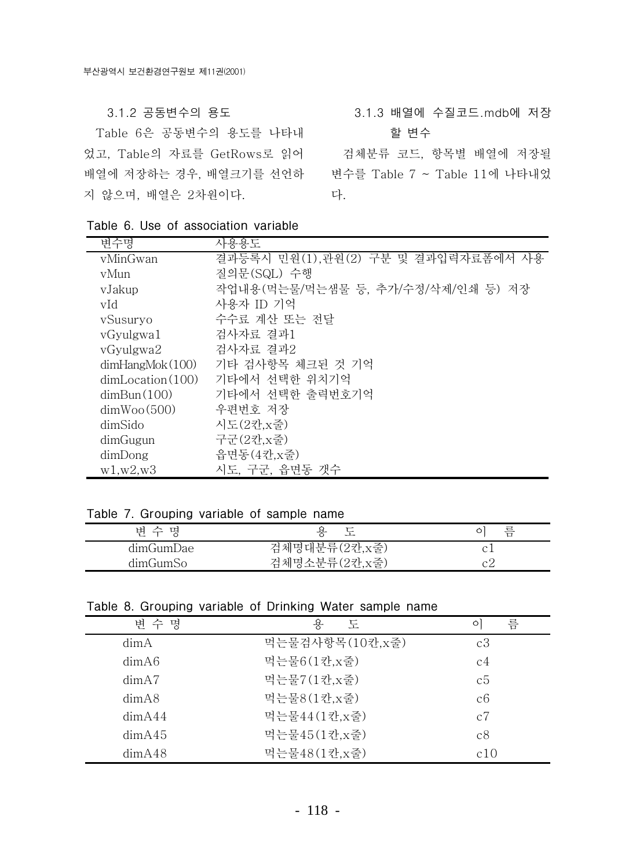#### 3.1.2 공동변수의 용도

Table 6은 공동변수의 용도를 나타내 었고, Table의 자료를 GetRows로 읽어 검체분류 코드, 항목별 배열에 저장될 배열에 저장하는 경우, 배열크기를 선언하<br>변수를 Table 7 ~ Table 11에 나타내었 지 않으며, 배열은 2차원이다.

3.1.3 배열에 수질코드.mdb에 저장

할 변수

다.

| 변수명                       | 사용용도                                |
|---------------------------|-------------------------------------|
| vMinGwan                  | 결과등록시 민원(1),관원(2) 구분 및 결과입력자료폼에서 사용 |
| vMun                      | 질의문(SQL) 수행                         |
| vJakup                    | 작업내용(먹는물/먹는샘물 등, 추가/수정/삭제/인쇄 등) 저장  |
| vId                       | 사용자 ID 기억                           |
| vSusuryo                  | 수수료 계산 또는 전달                        |
| vGyulgwa1                 | 검사자료 결과1                            |
| vGyulgwa2                 | 검사자료 결과2                            |
| $dim$ Hang $M$ ok $(100)$ | 기타 검사항목 체크된 것 기억                    |
| dimLocation(100)          | 기타에서 선택한 위치기억                       |
| dimBun(100)               | 기타에서 선택한 출력번호기억                     |
| dimWoo(500)               | 우편번호 저장                             |
| dimSido                   | 시도(2칸,x줄)                           |
| dimGugun                  | 구군(2칸,x줄)                           |
| dimDong                   | 읍면동(4칸,x줄)                          |
| w1,w2,w3                  | 시도, 구군, 읍면동 갯수                      |

Table 6. Use of association variable

#### Table 7. Grouping variable of sample name

| 변 수 명     |                | 름 |
|-----------|----------------|---|
| dimGumDae | 검체명대분류(2칸, x줄) |   |
| dimGumSo  | 검체명소분류(2칸, x줄) |   |

#### Table 8. Grouping variable of Drinking Water sample name

| 변 수 명  | 용<br>도           | 름<br>$\circ$   |
|--------|------------------|----------------|
| dim A  | 먹는물검사항목(10칸, x줄) | c3             |
| dimA6  | 먹는물6(1칸,x줄)      | c <sub>4</sub> |
| dimA7  | 먹는물7(1칸, x줄)     | c <sub>5</sub> |
| dimA8  | 먹는물8(1칸, x줄)     | c6             |
| dimA44 | 먹는물44(1칸,x줄)     | c7             |
| dimA45 | 먹는물45(1칸,x줄)     | c8             |
| dimA48 | 먹는물48(1칸,x줄)     | c10            |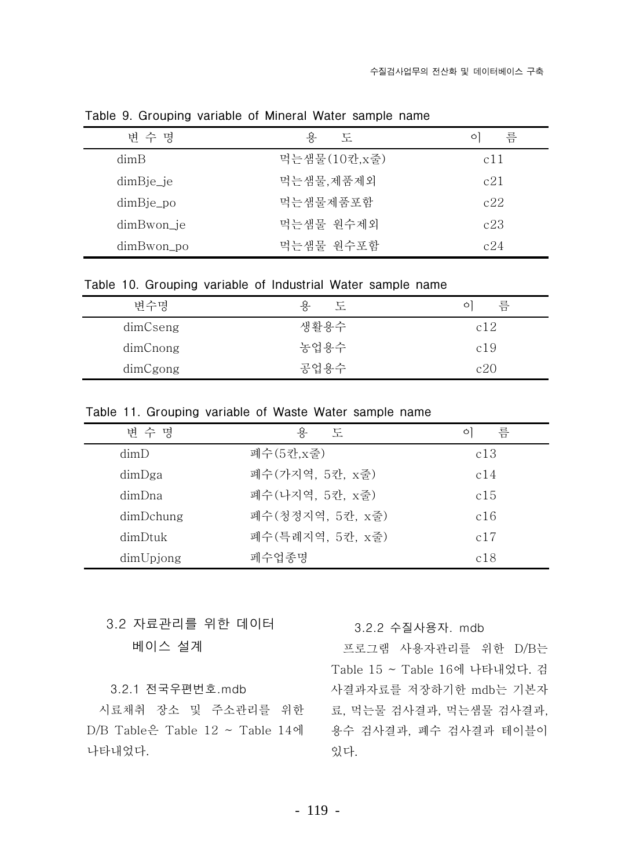| 변 수 명                | 욧<br>도       | 름<br>$\circ$ |
|----------------------|--------------|--------------|
| dimB                 | 먹는샘물(10칸,x줄) | c11          |
| $dim B_1^i e_i$      | 먹는샘물,제품제외    | c21          |
| $dim \text{B}$ je_po | 먹는샘물제품포함     | c22          |
| dimBwon_je           | 먹는샘물 워수제외    | c23          |
| dimBwon_po           | 먹는샘물 워수포함    | c24          |

Table 9. Grouping variable of Mineral Water sample name

Table 10. Grouping variable of Industrial Water sample name

| 변수명      | 도<br>욧 | 름   |
|----------|--------|-----|
| dimCseng | 생활용수   | c12 |
| dimCnong | 농업용수   | c19 |
| dimCgong | 공업용수   | c20 |

Table 11. Grouping variable of Waste Water sample name

| 변 수 명     | 욗<br>도            | 름<br>$\circ$ |
|-----------|-------------------|--------------|
| dimD      | 폐수(5칸,x줄)         | c13          |
| dimDga    | 폐수 (가지역, 5칸, x줄)  | c14          |
| dimDna    | 폐수 (나지역, 5칸, x줄)  | c15          |
| dimDchung | 폐수 (청정지역, 5칸, x줄) | c16          |
| dimDtuk   | 폐수 (특례지역, 5칸, x줄) | c17          |
| dimUpjong | 페수업종명             | c18          |

3.2 자료관리를 위한 데이터 베이스 설계

#### 3.2.1 전국우편번호.mdb

 $D/B$  Table은 Table  $12 \sim$  Table  $14$ 에 나타내었다.

#### 3.2.2 수질사용자. mdb

프로그램 사용자관리를 위한 D/B는 Table 15 ~ Table 16에 나타내었다. 검 사결과자료를 저장하기한 mdb는 기본자 시료채취 장소 및 주소관리를 위한 료, 먹는물 검사결과, 먹는샘물 검사결과, 용수 검사결과. 폐수 검사결과 테이블이 있다.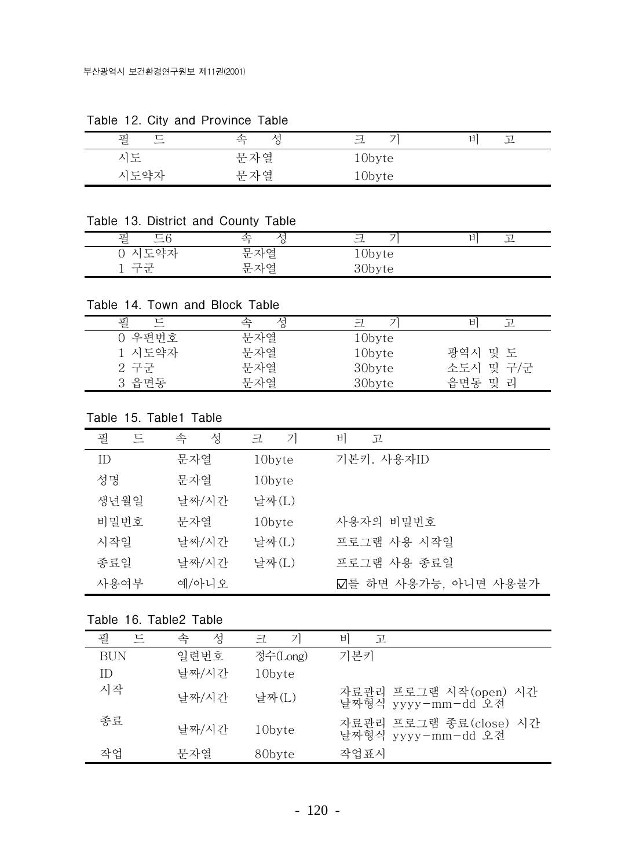| -      |     |                |    |
|--------|-----|----------------|----|
| 필<br>드 | ≏   | ⇁<br>ᅱ<br>$-1$ | Ħ. |
| 시도     | 문자열 | 10byte         |    |
| 시도약자   | 문자열 | 10byte         |    |

Table 12. City and Province Table

Table 13. District and County Table

| $\sim$ $\sim$<br>필<br>، ب<br>$\overline{\phantom{0}}$ |                                                           | $\overline{\phantom{a}}$<br>⇁ | $\sim$<br>□ |
|-------------------------------------------------------|-----------------------------------------------------------|-------------------------------|-------------|
| $L - 1$<br>ر جات پ<br>$\overline{\phantom{a}}$        | $\overline{\phantom{0}}$<br>$\overline{\phantom{0}}$<br>亡 | ⊥∪byte                        |             |
| ∽                                                     | $\overline{\phantom{0}}$<br>$\sim$                        | $\ddot{\phantom{0}}$<br>ີ     |             |

Table 14. Town and Block Table

| 필      | 성<br>속 | 彐      | ЫI        |
|--------|--------|--------|-----------|
| 0 우편번호 | 문자열    | 10byte |           |
| 1 시도약자 | 문자열    | 10byte | 광역시 및 도   |
| 2 구군   | 문자열    | 30byte | 소도시 및 구/군 |
| 3 읍면동  | 문자열    | 30byte | 읍면동 및 리   |

Table 15. Table1 Table

| 필<br>드 | 성<br>속 | $\overline{Z}$<br>크 | 비<br>고               |
|--------|--------|---------------------|----------------------|
| ID     | 문자열    | 10byte              | 기본키. 사용자ID           |
| 성명     | 문자열    | 10byte              |                      |
| 생년월일   | 날짜/시간  | 날짜(L)               |                      |
| 비밀번호   | 문자열    | 10byte              | 사용자의 비밀번호            |
| 시작일    | 날짜/시간  | 날짜(L)               | 프로그램 사용 시작일          |
| 종료일    | 날짜/시간  | 날짜(L)               | 프로그램 사용 종료일          |
| 사용여부   | 예/아니오  |                     | ☑를 하면 사용가능, 아니면 사용불가 |

Table 16. Table2 Table

| 필<br>匸 | 성<br>속 | 71<br>彐  | 日<br>고                                       |
|--------|--------|----------|----------------------------------------------|
| BUN    | 일련번호   | 정수(Long) | 기본키                                          |
| ID     | 날짜/시간  | 10byte   |                                              |
| 시작     | 날짜/시간  | 날짜(L)    | 자료관리 프로그램 시작(open) 시간<br>날짜형식 yyyy-mm-dd 오전  |
| 종료     | 날짜/시간  | 10byte   | 자료관리 프로그램 종료(close) 시간<br>날짜형식 yyyy-mm-dd 오전 |
| 작업     | 무자열    | 80byte   | 작업표시                                         |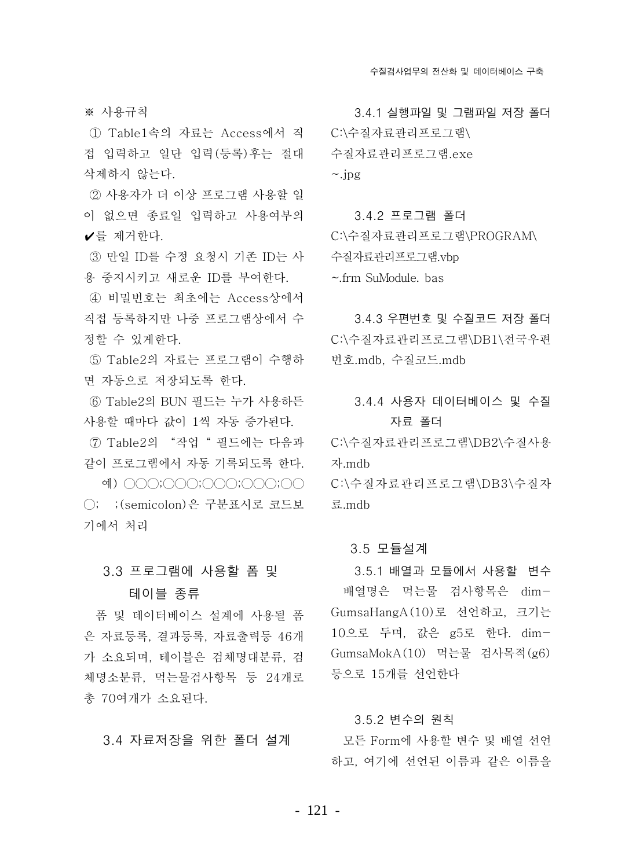※ 사용규칙

① Table1속의 자료는 Access에서 직 C:\수질자료관리프로그램\ 접 입력하고 일단 입력(등록)후는 절대 삭제하지 않는다.

2) 사용자가 더 이상 프로그램 사용할 일 이 없으면 종료일 입력하고 사용여부의 ✔를 제거한다.

③ 만일 ID를 수정 요청시 기존 ID는 사 용 중지시키고 새로운 ID를 부여하다.

④ 비밀번호는 최초에는 Access상에서 직접 등록하지만 나중 프로그램상에서 수 정할 수 있게하다.

⑤ Table2의 자료는 프로그램이 수행하 면 자동으로 저장되도록 하다.

⑥ Table2의 BUN 필드는 누가 사용하든 사용할 때마다 값이 1씩 자동 증가된다.

(7) Table2의 "작업 " 필드에는 다음과 같이 프로그램에서 자동 기록되도록 한다.

예) ○○○;○○○;○○○;○○○;○○ ○; ;(semicolon)은 구분표시로 코드보 기에서 처리

#### 3.3 프로그램에 사용할 폼 및

#### 테이블 종류

폼 및 데이터베이스 설계에 사용될 폼 은 자료등록, 결과등록, 자료출력등 46개 가 소요되며, 테이블은 검체명대부류, 검 체명소분류, 먹는물검사항목 등 24개로 총 70여개가 소요된다.

3.4 자료저장을 위한 폴더 설계

3.4.1 실행파일 및 그램파일 저장 폴더 수질자료관리프로그램.exe  $\sim$ .jpg

3.4.2 프로그램 폴더 C:\수질자료관리프로그램\PROGRAM\ 수질자료관리프로그램.vbp  $\sim$ .frm SuModule, bas

3.4.3 우편번호 및 수질코드 저장 폴더 C:\수질자료관리프로그램\DB1\전국우편 변호.mdb. 수질코드.mdb

## 3.4.4 사용자 데이터베이스 및 수질 자료 폴더

C:\수질자료관리프로그램\DB2\수질사용 자.mdb

C:\수질자료관리프로그램\DB3\수질자 - 류 mdh

#### 3.5 모듈설계

3.5.1 배열과 모듈에서 사용할 변수 배열명은 먹는물 검사항목은 dim-GumsaHangA(10)로 선언하고, 크기는 10으로 두며, 값은 g5로 한다. dim-GumsaMokA(10) 먹는물 검사목적(g6) 등으로 15개를 선언하다.

#### 3.5.2 변수의 원칙

모든 Form에 사용할 변수 및 배열 선언 하고, 여기에 선언된 이름과 같은 이름을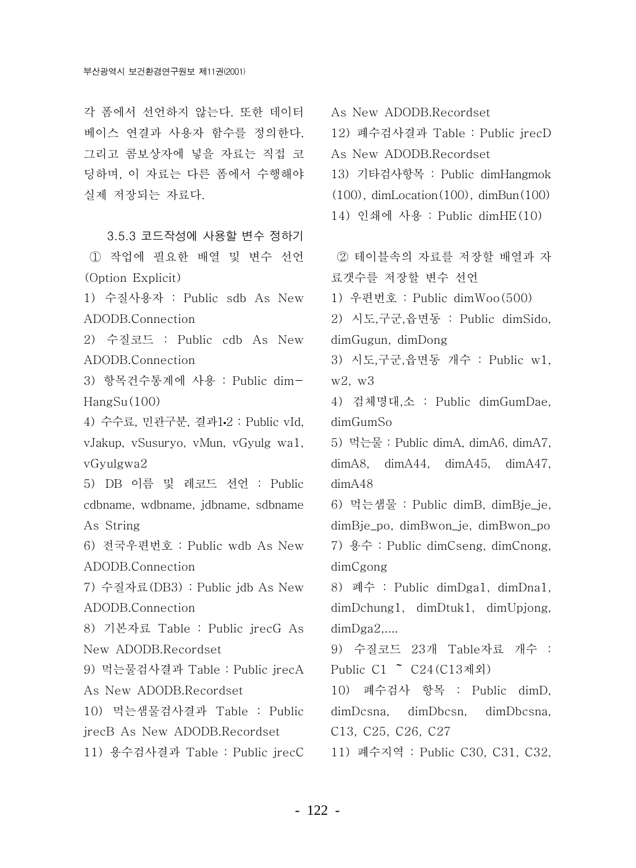각 폼에서 선언하지 않는다. 또한 데이터 베이스 연결과 사용자 함수를 정의한다. 그리고 콤보상자에 넣을 자료는 직접 코 딩하며, 이 자료는 다른 폼에서 수행해야 실제 저장되는 자료다.

3.5.3 코드작성에 사용할 변수 정하기 1 작업에 필요한 배열 및 변수 선언 (Option Explicit)

1) 수질사용자 : Public sdb As New ADODB.Connection

2) 수질코드 : Public cdb As New ADODB.Connection

3) 항목건수통계에 사용 : Public dim- $HangSu(100)$ 

4) 수수료, 민관구분, 결과1·2 : Public vId, vJakup, vSusuryo, vMun, vGyulg wa1, vGyulgwa2

5) DB 이름 및 레코드 선언 : Public cdbname, wdbname, jdbname, sdbname As String

6) 전국우편번호 : Public wdb As New ADODB.Connection

7) 수질자료(DB3) : Public idb As New ADODB.Connection

8) 기본자료 Table : Public jrecG As New ADODB.Recordset

9) 먹는물검사결과 Table : Public irecA As New ADODB.Recordset

10) 먹는샘물검사결과 Table : Public jrecB As New ADODB.Recordset

11) 용수검사결과 Table : Public jrecC

As New ADODB.Recordset

12) 폐수검사결과 Table : Public irecD

As New ADODB.Recordset

13) 기타검사항목 : Public dimHangmok

 $(100)$ , dimLocation $(100)$ , dimBun $(100)$ 

14) 인쇄에 사용 : Public dimHE(10)

② 테이블속의 자료를 저장할 배열과 자 료갯수를 저장할 변수 선언

1) 우편번호 : Public dimWoo(500)

2) 시도 구군 음면동 : Public dimSido. dimGugun, dimDong

3) 시도, 구군, 읍면동 개수 : Public w1,  $w2. w3$ 

4) 검체명대,소 : Public dimGumDae, dimGumSo

5) 먹는물 : Public dimA, dimA6, dimA7,  $dimA8$ ,  $dimA44$ ,  $dimA45$ ,  $dimA47$ ,  $dimA48$ 

6) 먹는샘물 : Public dimB, dimBje\_je, dimBje\_po, dimBwon\_je, dimBwon\_po 7) 용수 : Public dimCseng, dimCnong, dimCgong

8) 폐수 : Public dimDga1, dimDna1, dimDchung1, dimDtuk1, dimUpjong,  $dimDga2$ ....

9) 수질코드 23개 Table자료 개수 : Public C1 ~ C24(C13제외)

10) 폐수검사 항목 : Public dimD, dimDesna. dimDbesn. dimDbcsna. C<sub>13</sub>, C<sub>25</sub>, C<sub>26</sub>, C<sub>27</sub>

11) 폐수지역 : Public C30, C31, C32,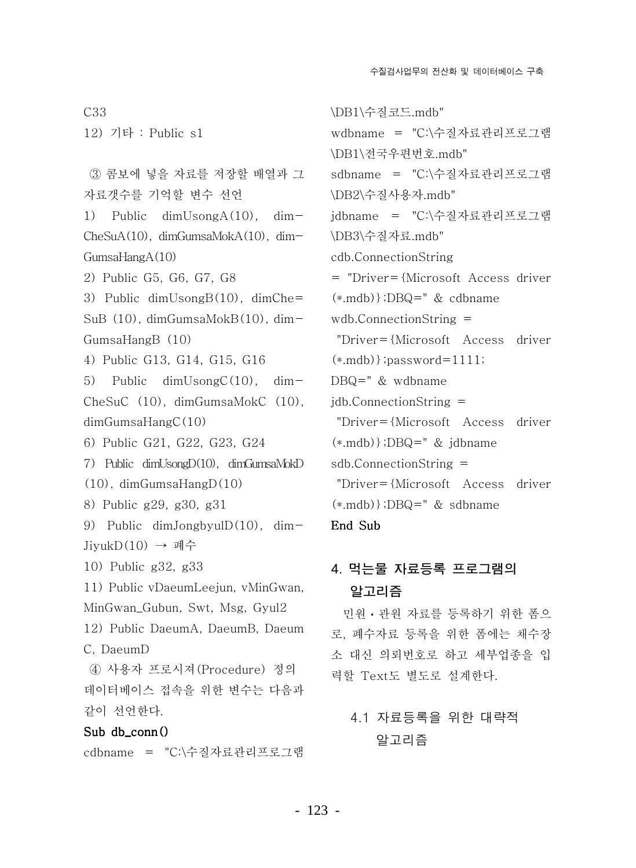12) 기타 : Public s1 3 콤보에 넣을 자료를 저장할 배열과 그 자료갯수를 기억할 변수 선언 1) Public  $dimUsongA(10)$ ,  $dim CheSuA(10)$ , dim $GumsaMokA(10)$ , dim- $GumsaHangA(10)$ 2) Public G5, G6, G7, G8 3) Public  $dimUsongB(10)$ ,  $dimChe=$  $SuB(10)$ , dim $GumsaMokB(10)$ , dim- $GumsaHangB$  (10) 4) Public G13, G14, G15, G16 5) Public dimUsongC $(10)$ , dim- $CheSuC$  (10),  $dimGumsaMokC$  (10),  $dimGumsaHangC(10)$ 6) Public G21, G22, G23, G24 7) Public dimUsongD(10), dimGumsaMokD  $(10)$ , dimGumsaHang $D(10)$ 8) Public g29, g30, g31 9) Public dimJongbyul $D(10)$ , dim-Jiyuk $D(10)$  → 폐수 10) Public g32, g33 11) Public vDaeumLeejun, vMinGwan. MinGwan\_Gubun, Swt, Msg, Gyul2 12) Public DaeumA, DaeumB, Daeum C. DaeumD 4) 사용자 프로시져 (Procedure) 정의 데이터베이스 접속을 위한 변수는 다음과 같이 선언하다. Sub db  $conn()$ cdbname = "C:\수질자료관리프로그램

 $C33$ 

\DB1\수질코드.mdb" wdbname = "C:\수질자료관리프로그램 \DB1\전국우편번호.mdb" sdbname = "C:\수질자료관리프로그램 \DB2\수질사용자.mdb" jdbname = "C:\수질자료관리프로그램 \DB3\수질자료.mdb" cdb.ConnectionString  $=$  "Driver={Microsoft Access driver  $(*.\text{mdb})$ :DBQ=" & cdbname  $wdb$ . Connection String = "Driver={Microsoft Access driver  $(*.\text{mdb})$ : password=1111;  $DBQ = "$  & wdbname  $jdb$ . Connection String = "Driver={Microsoft Access driver  $(*.\text{mdb})$ :DBQ=" & idbname  $sdb$ . Connection String = "Driver={Microsoft Access driver  $(*.\text{mdb})$ ;DBQ=" & sdbname End Sub

# 4. 먹는물 자료등록 프로그램의 알고리즘

민원 · 관원 자료를 등록하기 위한 폼으 로, 폐수자료 등록을 위한 폼에는 채수장 소 대신 의뢰번호로 하고 세부업종을 입 력할 Text도 별도로 설계한다.

# 4.1 자료등록을 위한 대략적 알고리즘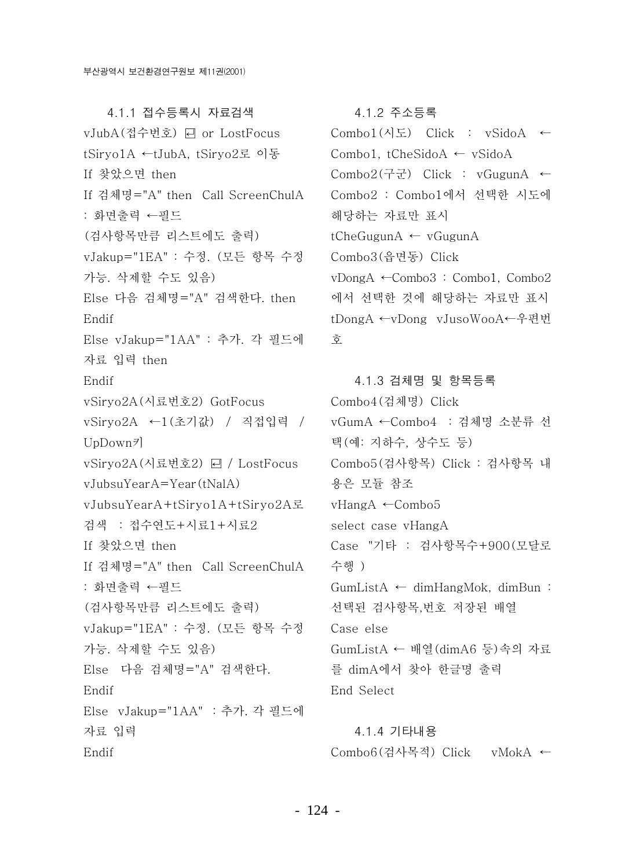4.1.1 접수등록시 자료검색 vJubA(접수번호) 曰 or LostFocus tSiryo1A ←tJubA, tSiryo2로 이동 If 찾았으면 then If 검체명="A" then Call ScreenChulA : 화면출력 ←필드 (검사항목만큼 리스트에도 출력) vJakup="1EA" : 수정. (모든 항목 수정 가능. 삭제할 수도 있음) Else 다음 검체명="A" 검색한다. then Endif Else vJakup="1AA" : 추가. 각 필드에 자료 입력 then Endif vSiryo2A(시료번호2) GotFocus vSiryo2A ←1(초기값) / 직접입력 /  $UpDown\bar{z}$ vSiryo2A(시료번호2) 딘 / LostFocus  $vJubsuYearA=Year(tNaIA)$ vJubsuYearA+tSiryo1A+tSiryo2A로 검색 : 접수연도+시료1+시료2 If 찾았으면 then If 검체명="A" then Call ScreenChulA : 화면출력 ←필드 (검사항목만큼 리스트에도 출력) vJakup="1EA" : 수정. (모든 항목 수정 가능. 삭제할 수도 있음) Else 다음 검체명="A" 검색한다. Endif Else vJakup="1AA" : 추가. 각 필드에 자료 입력 Endif

#### 4.1.2 주소등록

 $Combol(\lambda | \Sigma)$  Click : vSidoA ← Combo1, tCheSidoA  $\leftarrow$  vSidoA  $Combo2(77)$  Click : vGugunA  $\leftarrow$ Combo2 : Combo1에서 선택한 시도에 해당하는 자료만 표시 tCheGugunA  $\leftarrow$  vGugunA Combo3(음면동) Click vDongA ←Combo3: Combo1, Combo2 에서 선택한 것에 해당하는 자료만 표시 tDongA ←vDong vJusoWooA←우편번 ਨੋ

4.1.3 검체명 및 항목등록 Combo4 (검체명) Click vGumA ←Combo4 : 검체명 소분류 선 택(예: 지하수, 상수도 등) Combo5(검사항목) Click : 검사항목 내 용은 모듈 참조  $vH$ ang $A \leftarrow$ Combo5 select case vHangA Case "기타 : 검사항목수+900 (모달로 수행 ) GumListA  $\leftarrow$  dimHangMok, dimBun: 선택된 검사항목, 번호 저장된 배열 Case else GumListA ← 배열(dimA6 등)속의 자료 를 dimA에서 찾아 한글명 출력 End Select

4.1.4 기타내용 Combo6(검사목적) Click vMokA ←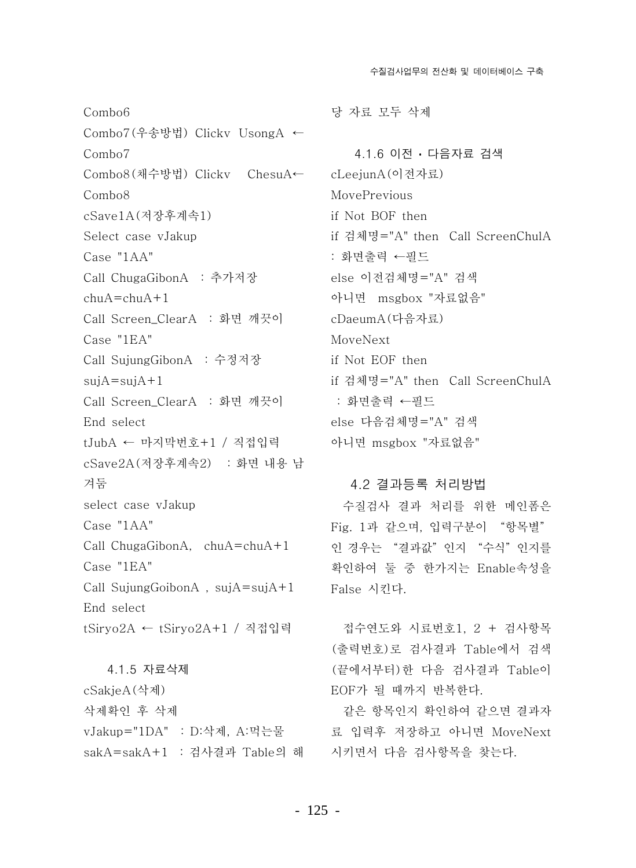수질검사업무의 전산화 및 데이터베이스 구축

Combo<sub>6</sub> Combo7(우송방법) Clickv UsongA ←  $Combo7$ Combo8(채수방법) Clickv ChesuA← Combo<sub>8</sub> cSave1A(저장후계속1) Select case vJakup Case "1AA" Call ChugaGibonA : 추가저장  $ch<sub>11</sub>A = ch<sub>11</sub>A + 1$ Call Screen\_ClearA : 화면 깨끗이 Case "1EA" Call SujungGibonA : 수정저장  $sujA = sujA + 1$ Call Screen\_ClearA : 화면 깨끗이 End select tJubA ← 마지막번호+1 / 직접입력 cSave2A (저장후계속2) : 화면 내용 남 겨둠 select case vJakup Case "1AA" Call ChugaGibonA,  $chuA = chuA + 1$ Case "1EA" Call SujungGoibonA,  $sujA=sujA+1$ End select tSiryo2A ← tSiryo2A+1 / 직접입력

4.1.5 자료삭제 cSakjeA(삭제) 삭제확인 후 삭제 vJakup="1DA" : D:삭제, A:먹는물 sakA=sakA+1 : 검사결과 Table의 해 당 자료 모두 삭제

4.1.6 이전 · 다음자료 검색 cLeejunA(이전자료) MovePrevious if Not BOF then if 검체명="A" then Call ScreenChulA : 화면출력 ←필드 else 이전검체명="A" 검색 아니면 msgbox "자료없음" cDaeumA(다음자료) MoveNext if Not EOF then if 검체명="A" then Call ScreenChulA : 화면출력 ←필드 else 다음검체명="A" 검색 아니면 msgbox "자료없음"

#### 4.2 결과등록 처리방법

수질검사 결과 처리를 위한 메인폼은 Fig. 1과 같으며, 입력구분이 "항목별" 인 경우는 "결과값" 인지 "수식" 인지를 확인하여 둘 중 한가지는 Enable속성을 False 시킨다.

접수연도와 시료번호1, 2 + 검사항목 (출력번호)로 검사결과 Table에서 검색 (끝에서부터)한 다음 검사결과 Table이 EOF가 될 때까지 반복한다.

같은 항목이지 확이하여 같으면 결과자 료 입력후 저장하고 아니면 MoveNext 시키면서 다음 검사항목을 찾는다.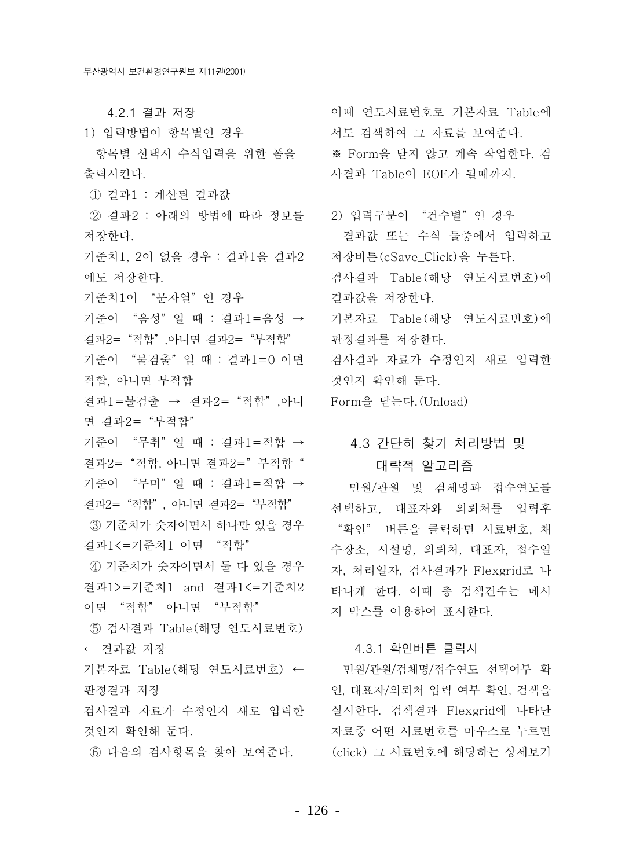4.2.1 결과 저장

1) 입력방법이 항목별인 경우

항목별 선택시 수식입력을 위한 폼을 출력시킨다.

1 결과1 : 계산된 결과값

② 결과2 : 아래의 방법에 따라 정보를 · 2) 입력구분이 "건수별"인 경우 저장한다.

기준치1. 2이 없을 경우 : 결과1을 결과2 에도 저장한다.

기준치1이 "문자열"인 경우

기준이 "음성"일 때 : 결과1=음성 → 결과2= "적합" 아니면 결과2= "부적합"

기준이 "불검출"일 때 : 결과1=0 이면 적합. 아니면 부적합

결과1=불검출 → 결과2= "적합", 아니 Form을 닫는다. (Unload) 면 결과2= "부적합"

기준이 "무취"일 때 : 결과1=적합 → 결과2= "적합, 아니면 결과2="부적합" 기준이 "무미"일 때 : 결과1=적합 → 결과2= "적합", 아니면 결과2= "부적합"

③ 기준치가 숫자이면서 하나만 있을 경우 결과1<=기준치1 이면 "적합"

4) 기준치가 숫자이면서 둘 다 있을 경우 결과1>=기준치1 and 결과1<=기준치2 이면 "적합" 아니면 "부적합"

⑤ 검사결과 Table(해당 연도시료번호) ← 결과값 저장

기본자료 Table (해당 연도시료번호) ← 판정결과 저장

검사결과 자료가 수정인지 새로 입력한 것이지 확이해 두다.

6 다음의 검사항목을 찾아 보여준다.

이때 연도시료번호로 기본자료 Table에 서도 검색하여 그 자료를 보여준다. ※ Form을 닫지 않고 계속 작업한다. 검 사결과 Table이 EOF가 될때까지.

결과값 또는 수식 둘중에서 입력하고 저장버튼(cSave Click)을 누른다. 검사결과 Table (해당 연도시료번호)에 결과값을 저장한다. 기본자료 Table(해당 연도시료번호)에 파정결과를 저장하다. 검사결과 자료가 수정인지 새로 입력한 것이지 확이해 두다.

# 4.3 간단히 찾기 처리방법 및 대략적 알고리즘

민원/관원 및 검체명과 접수연도를 선택하고, 대표자와 의뢰처를 입력후 "확인" 버튼을 클릭하면 시료번호, 채 수장소, 시설명, 의뢰처, 대표자, 접수일 자, 처리일자, 검사결과가 Flexgrid로 나 타나게 한다. 이때 총 검색건수는 메시 지 박스를 이용하여 표시한다.

#### 4.3.1 확인버튼 클릭시

민원/관원/검체명/접수연도 선택여부 확 인, 대표자/의뢰처 입력 여부 확인, 검색을 실시한다. 검색결과 Flexgrid에 나타난 자료중 어떤 시료번호를 마우스로 누르면 (click) 그 시료번호에 해당하는 상세보기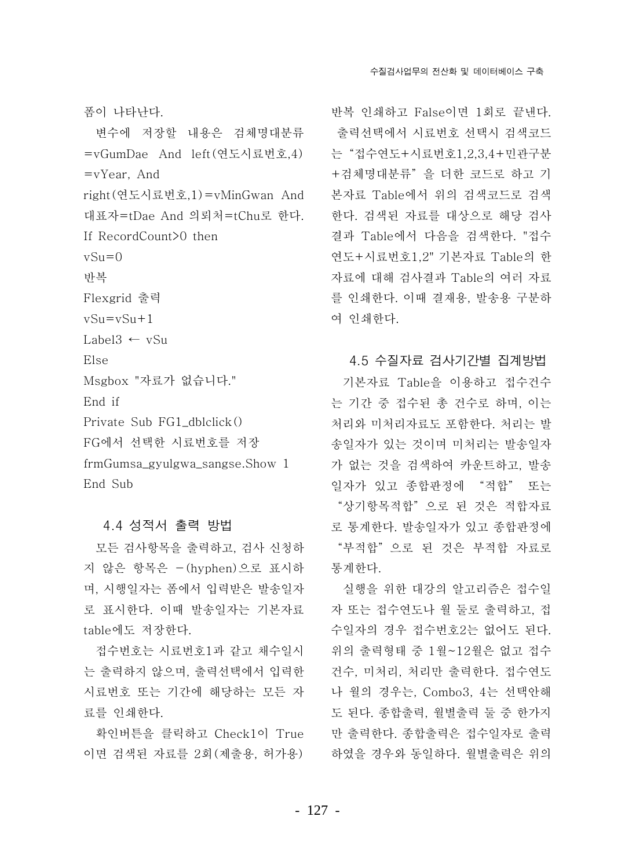폼이 나타나다.

변수에 저장할 내용은 검체명대분류 =vGumDae And left(연도시료번호,4)  $=vYear$ . And right (연도시료번호.1)=vMinGwan And 대표자=tDae And 의뢰처=tChu로 한다. If RecordCount>0 then  $vS_{11}=0$ 반복 Flexgrid 출력  $vSu = vSu + 1$ Label3  $\leftarrow$  vSu Else Msgbox "자료가 없습니다." End if Private Sub FG1 dblclick() FG에서 선택한 시료번호를 저장 frmGumsa\_gyulgwa\_sangse.Show 1 End Sub

#### 4.4 성적서 출력 방법

모든 검사항목을 출력하고, 검사 신청하 지 않은 항목은 -(hyphen)으로 표시하 며, 시행일자는 폼에서 입력받은 발송일자 로 표시한다. 이때 발송일자는 기본자료 table에도 저장한다.

접수번호는 시료번호1과 같고 채수일시 는 출력하지 않으며, 출력선택에서 입력한 시료번호 또는 기간에 해당하는 모든 자 료를 인쇄한다.

확인버튼을 클릭하고 Check1이 True 이면 검색된 자료를 2회(제출용, 허가용)

반복 인쇄하고 False이면 1회로 끝낸다. 출력선택에서 시료번호 선택시 검색코드 는 "접수연도+시료번호1,2,3,4+민관구분 +검체명대분류"을 더한 코드로 하고 기 본자료 Table에서 위의 검색코드로 검색 한다. 검색된 자료를 대상으로 해당 검사 결과 Table에서 다음을 검색한다. "접수 연도+시료번호1.2" 기본자료 Table의 한 자료에 대해 검사결과 Table의 여러 자료 를 인쇄한다. 이때 결재용, 발송용 구분하 여 인쇄한다.

#### 4.5 수질자료 검사기간별 집계방법

기본자료 Table을 이용하고 접수건수 는 기간 중 접수된 총 건수로 하며, 이는 처리와 미처리자료도 포함한다. 처리는 발 송일자가 있는 것이며 미처리는 발송일자 가 없는 것을 검색하여 카운트하고, 발송 일자가 있고 종합판정에 "적합" 또는 "상기항목적합"으로 된 것은 적합자료 로 통계하다. 발송일자가 있고 종합판정에 "부적합" 으로 된 것은 부적합 자료로 통계한다.

실행을 위한 대강의 알고리즘은 접수일 자 또는 접수연도나 월 둘로 출력하고, 접 수일자의 경우 접수번호2는 없어도 된다. 위의 출력형태 중 1월~12월은 없고 접수 건수, 미처리, 처리만 출력한다. 접수연도 나 월의 경우는, Combo3, 4는 선택안해 도 된다. 종합출력, 월별출력 둘 중 한가지 만 출력한다. 종합출력은 접수일자로 출력 하였을 경우와 동일하다. 월별출력은 위의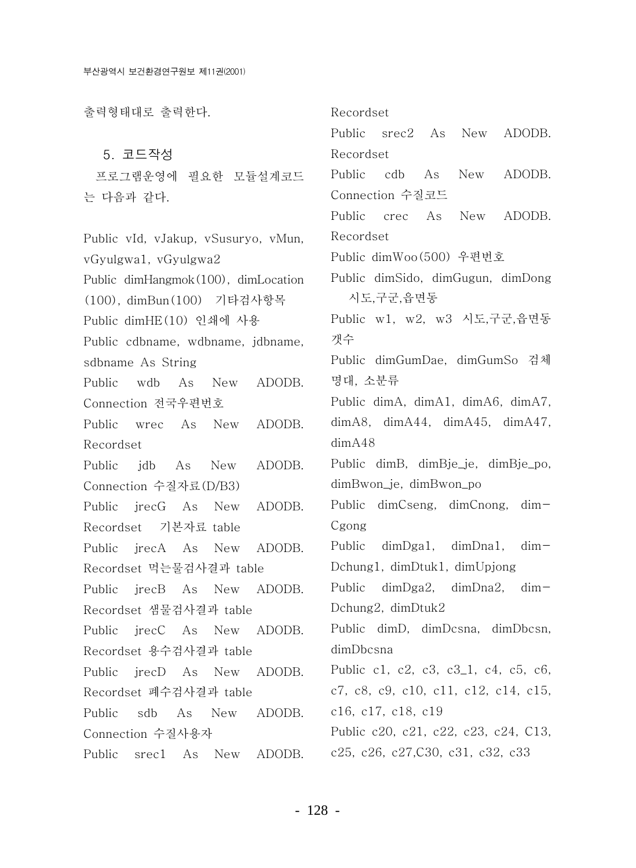출력형태대로 출력하다. Recordset Public srec2 As New ADODB. 5. 코드작성 Recordset  $As$ **New** ADODB. Public cdb 프로그램운영에 필요한 모듈설계코드 Connection 수질코드 는 다음과 같다. Public crec As **New** ADODB. Recordset Public vId, vJakup, vSusuryo, vMun, Public dimWoo(500) 우편번호 vGyulgwa1, vGyulgwa2 Public dimSido, dimGugun, dimDong Public dimHangmok(100), dimLocation 시도,구군,읍면동 (100), dimBun(100) 기타검사항목 Public w1, w2, w3 시도,구군,읍면동 Public dimHE(10) 인쇄에 사용 갯수 Public cdbname, wdbname, jdbname, Public dimGumDae, dimGumSo 검체 sdbname As String 명대, 소분류  $Public \quad \text{wdb}$ **New** ADODB. As Public dimA, dimA1, dimA6, dimA7, Connection 전국우편번호  $dimA8$ ,  $dimA44$ ,  $dimA45$ ,  $dimA47$ , Public wrec As New ADODB.  $dimA48$ Recordset Public dimB, dimBje\_je, dimBje\_po, Public idb As ADODB. New Connection 수질자료(D/B3) dimBwon\_je, dimBwon\_po Public dimCseng, dimCnong, dim-Public irecG As New ADODB. Cgong Recordset 기본자료 table Public dimDga1, dimDna1, Public jrecA As New ADODB.  $dim-$ Dchung1, dimDtuk1, dimUpjong Recordset 먹는물검사결과 table Public dimDga2, dimDna2,  $dim-$ Public irecB As New ADODB. Dchung2, dimDtuk2 Recordset 샘물검사결과 table Public dimD, dimDcsna, dimDbcsn, Public irecC As New ADODB. dimDbcsna Recordset 용수검사결과 table Public c1, c2, c3, c3\_1, c4, c5, c6, Public irecD As New ADODB. c7, c8, c9, c10, c11, c12, c14, c15, Recordset 폐수검사결과 table c16, c17, c18, c19 Public sdb  $As$  New **ADODR** Connection 수질사용자 Public c20, c21, c22, c23, c24, C13. c25, c26, c27, C30, c31, c32, c33 Public srec1 As New ADODB.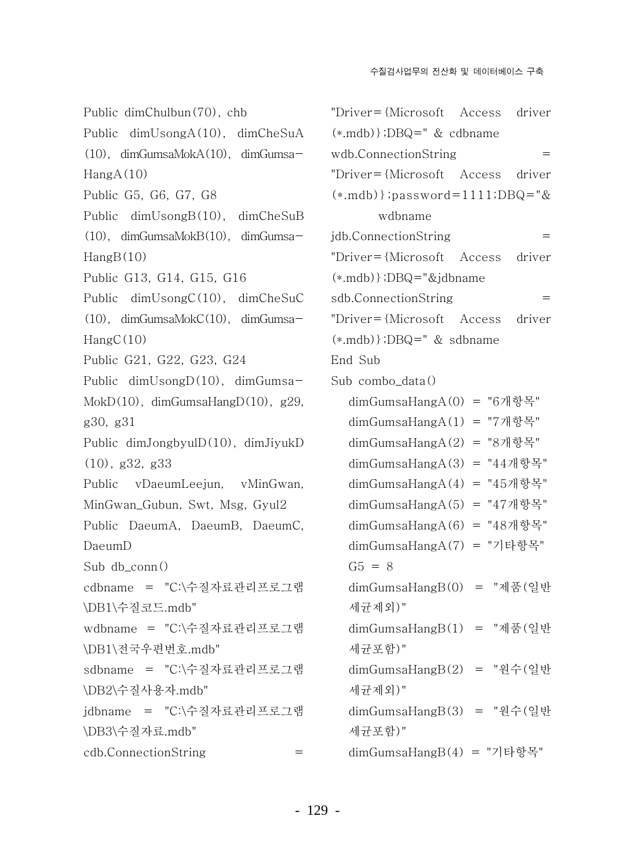Public  $dimChulbin(70)$ , chb Public dimUsongA(10), dimCheSuA  $(10)$ , dimGumsaMokA $(10)$ , dimGumsa- $\text{HangA}(10)$ Public G5, G6, G7, G8 Public dimUsongB(10), dimCheSuB  $(10)$ , dimGumsaMokB $(10)$ , dimGumsa- $\text{HangB}(10)$ Public G13, G14, G15, G16 Public  $dimUsingC(10)$ ,  $dimCheSuC$  $(10)$ . dimGumsaMokC $(10)$ . dimGumsa- $HangC(10)$ Public G21, G22, G23, G24 Public  $dimUsingD(10)$ ,  $dimGumsa-$ MokD $(10)$ , dimGumsaHangD $(10)$ , g29, g30, g31 Public  $dimJongbyulD(10)$ ,  $dimJiyukD$  $(10),$  g32, g33 Public vDaeumLeejun, vMinGwan, MinGwan\_Gubun, Swt, Msg, Gyul2 Public DaeumA, DaeumB, DaeumC, DaeumD Sub  $db_{conn}()$ cdbname = "C:\수질자료관리프로그램 \DB1\수질코드.mdb" wdbname = "C:\수질자료관리프로그램 \DB1\전국우편번호.mdb" sdbname = "C:\수질자료관리프로그램 \DB2\수질사용자.mdb" jdbname = "C:\수질자료관리프로그램 \DB3\수질자료.mdb" cdb.ConnectionString  $=$ 

 $"Driver = \{Microsoft \; Access\}$ driver  $(*.\text{mdb})$ ;DBQ=" & cdbname wdb.ConnectionString  $=$  $"Driver = \{Microsoft \; Access\}$ driver  $(*.\text{mdb})$ ; password=1111; DBQ="& wdbname idb.ConnectionString  $=$  $"Driver = {Microsoft Access}$ driver  $(*.\text{mdb})$ :DBQ="&jdbname sdb.ConnectionString  $=$  $"Driver = {Microsoft \t Access}$ driver  $(*.\text{mdb})$ :DBQ=" & sdbname End Sub Sub combo data $()$  $dimGumsaHangA(0) = "6개항목"$  $dimGumsaHangA(1) = "7<sup>1</sup>]$ 항목"  $dimGumsaHangA(2) = "8 $\pi$ 18"$  $dimGumsaHangA(3) = "44개항목"$  $dimGumsaHangA(4) = "45개항목"$  $dimGumsaHangA(5) = "47개항목"$  $dimGumsaHangA(6) = "48개항목"$  $dimGumsaHangA(7) = "7]$ 타항목"  $G5 = 8$  $dimGumsaHangB(0) = "제)$ 품(일반 세규제외)"  $dimGumsaHangB(1) = "제�'\frac{1}{2}$ 만 세균포함)"  $dimGumsaHangB(2) = "원수(일반)$ 세균제외)" dimGumsaHangB(3) = "원수(일반 세규포함)"  $dimGumsaHangB(4) = "7]$ 타항목"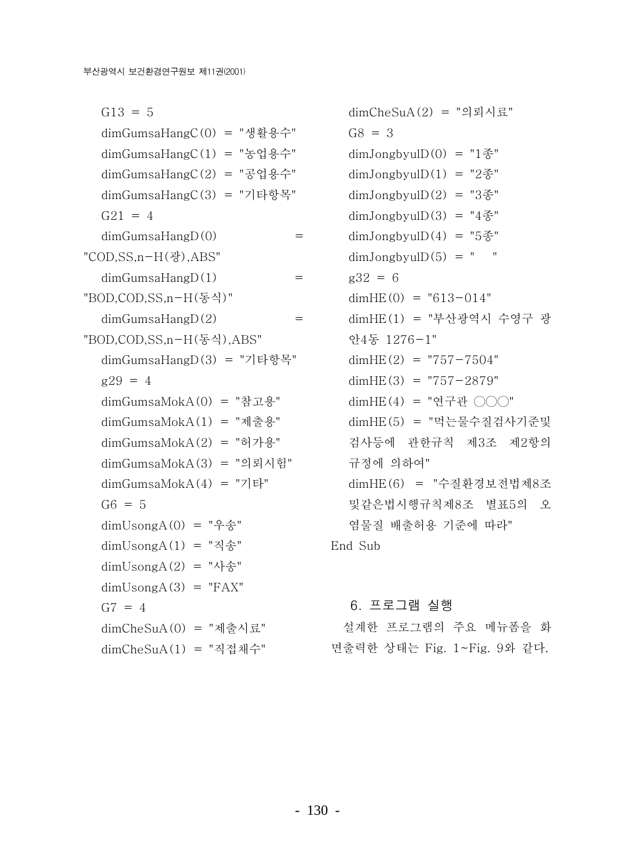$G13 = 5$  $dimGumsaHangC(0) = "$ 생활용수"  $dimGumsaHangC(1) = "ੰ8$ 업용수"  $dimGumsaHangeC(2) = "공업용수"$  $dimGumsaHangeC(3) = "7]$ 타항목"  $G21 = 4$  $dimGumsaHangD(0)$  $=$ "COD.SS.n-H(광).ABS"  $dimGumsaHangD(1)$  $=$ "BOD,COD,SS,n-H(동식)"  $dimGumsaHangD(2)$  $=$ "BOD.COD.SS.n-H(동식).ABS" dimGumsaHangD(3) = "기타항목"  $g29 = 4$  $dimGumsaMokA(0) = "12B.4"$  $dimGumsaMokA(1) = "제(3)$  $dimGumsaMokA(2) = "h7]$ 용" dimGumsaMokA(3) = "의뢰시험"  $dimGumsaMokA(4) = "7]$ 타"  $G6 = 5$  $dimUsingA(0) = "ú" + 25"$  $dimUsingA(1) = "4$ 송"  $dimUsongA(2) = "사송"$  $dimUsongA(3) = "FAX"$  $G7 = 4$  $dimCheSuA(0) = "π]$ 출시료"  $dimCheSuA(1) = "직체수"$ 

 $dimCheSuA(2) = "9]$ 뢰시료"  $G8 = 3$  $dimJongbyulD(0) = "1$ 종"  $dimJongbyulD(1) = "2*$ 종  $dimJ$ ongbyul $D(2) = "3$  종"  $dimJongbyulD(3) = "4<sup>g</sup>$  $dimJongbyulD(4) = "5$  종  $dimJongbyulD(5) = "$  $g32 = 6$  $dimHE(0) = "613-014"$ dimHE(1) = "부산광역시 수영구 광 안4동 1276-1"  $dimHE(2) = "757 - 7504"$  $dimHE(3) = "757-2879"$  $dimHE(4) = "P+P+OO"$ dimHE(5) = "먹는물수질검사기준및 검사등에 관한규칙 제3조 제2항의 규정에 의하여" dimHE(6) = "수질환경보전법제8조 및같은법시행규칙제8조 별표5의 오 염물질 배출허용 기준에 따라" End Sub

#### 6. 프로그램 실행

설계한 프로그램의 주요 메뉴폼을 화 면출력한 상태는 Fig. 1~Fig. 9와 같다.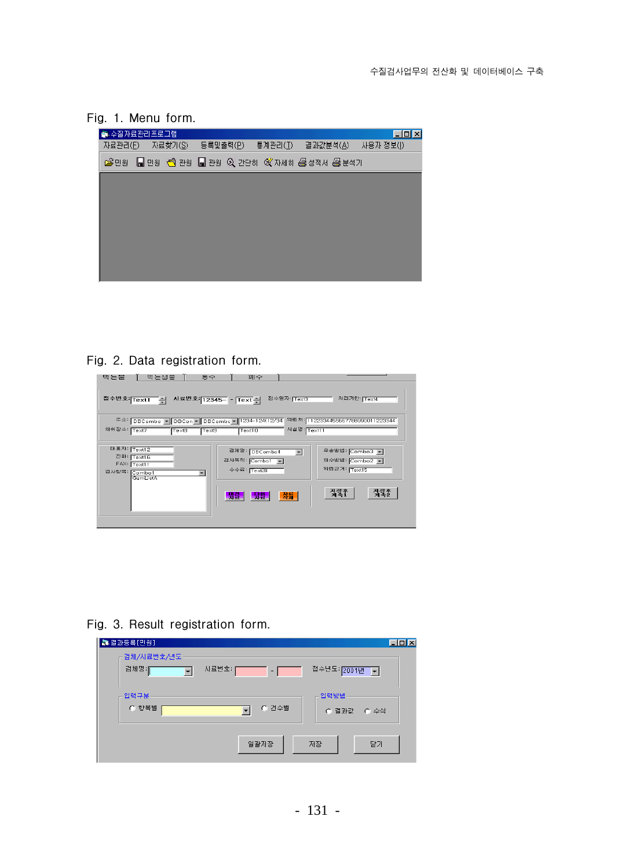



#### Fig. 2. Data registration form.

| 먹는샘물<br>멱는들<br>용수                                                                | 폐수                                                                     |                                                               |
|----------------------------------------------------------------------------------|------------------------------------------------------------------------|---------------------------------------------------------------|
| 접수변호: Text1 -                                                                    | 접수일자: Text3<br>시료빈호: 12345- - Text 쉬                                   | 처리기한 Text4                                                    |
| 주소: DBCombo' - DBCon - DBCombo - 1234-124(12/34<br>채취장소: Text7<br>Text8<br>Text9 | 시설명: Text11<br>Text10                                                  | 의뢰처: 1122334455667788990011223344                             |
| 대표자: Text12<br>진화: Text16<br>FAX: Text11<br>검사합목: Combo1<br>GumListA             | 검체명: DBCombo4<br>$\blacktriangledown$<br>검사목적: Combol -<br>수수료: Text20 | 우송방법: Combo3 로<br>채수방법: Combo2 -<br>의뢰근거: <mark>Text15</mark> |
|                                                                                  | 장류<br><u>Lazar</u><br><b>LASE</b>                                      | 저장후<br><b>계</b> 속1<br><u> 정출</u>                              |

Fig. 3. Result registration form.

| ▌ 결과동록[민원]          |            | $\Box$ o $\mathbf{x}$ |
|---------------------|------------|-----------------------|
| 검체/시료번호/년도<br>검체명:[ | 시료번호:<br>- | 접수년도 2001년 -          |
| 입력구분<br>○ 항목별       | ○ 건수별      | 입력방법<br>C 결과값 C 수식    |
|                     | 일괄저장       | 달기<br>저장              |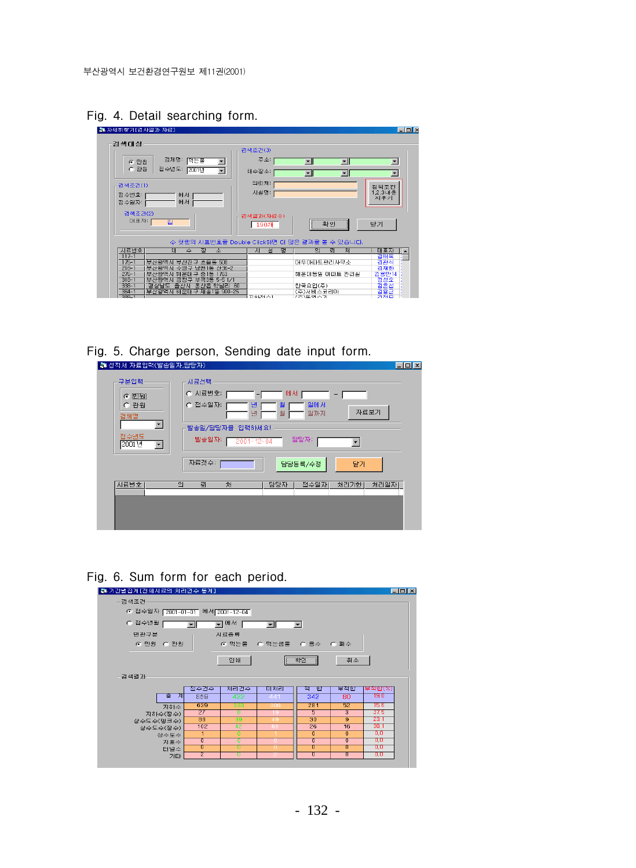

| 걱색대상                   |                                       |                              | 검색조건(3)                                       |                          |                          |                        |
|------------------------|---------------------------------------|------------------------------|-----------------------------------------------|--------------------------|--------------------------|------------------------|
| 6 巴科                   | 검체명: 먹든물                              | $\overline{\phantom{a}}$     | 주소:                                           | $\mathbf{r}$             | $\blacksquare$           | $\blacksquare$         |
| ○ 관원                   | 접수년도:<br>2001년                        | $\blacktriangledown$         | 채수장소:                                         | $\overline{\phantom{a}}$ | $\overline{\phantom{a}}$ | $\blacktriangledown$   |
| 검색조건(1)                |                                       |                              | 의뢰처:                                          |                          |                          |                        |
| 접수변호:<br>접수일자:         | 에서<br>에서                              |                              | 시설명:                                          |                          |                          | 검색조건<br>1.2.3내용<br>지우기 |
| 검색조건(2)<br>[H 표 자 :    | 김                                     |                              | 검색결과(자료수)<br>$190$ 개                          | 확인                       |                          | 닫기                     |
|                        |                                       |                              |                                               |                          |                          |                        |
|                        |                                       |                              | ♤ 첫행의 시료변호를 Double Click하면 더 많은 결과를 볼 수 있습니다. |                          |                          |                        |
| 시료변호                   | 채<br>≙                                | 장<br>소                       | 설<br>AI                                       | 명<br>의                   | 뢰<br>对                   | 대표자                    |
| $117 - 1$              |                                       |                              |                                               |                          |                          | 김태욱                    |
| $175 - 1$<br>$218 - 1$ | 부산광역시 부산진구 초음동 508<br>부산광역시           |                              |                                               | 대우아파트관리사무소               |                          | 김관식                    |
| $276 - 1$              | 해운대구<br>부산광역시                         | 수영구 남천1동 산36-2               |                                               | 해운대동일 아파트 관리실            |                          | 김재화                    |
| $318 - 1$              | 부산광역시                                 | 중1동 1763<br>금정구 부곡3동 5-5 1/1 |                                               |                          |                          | 김용만14<br>김성오           |
| $338 - 1$<br>$364 - 1$ | 경상남도<br>음산시<br>부산광역시 해운대구 재송1동 900-25 | 온산읍 학남리 60                   |                                               | 한국요업(주)<br>(주)서비스코리마     |                          | 김은섭<br>김용근             |

Fig. 5. Charge person, Sending date input form.

| ▌▓ 성적서 자료입력(발송일자,담당자)                                                       |                                                                                                                                                              | $\Box$ o $\boxtimes$ |
|-----------------------------------------------------------------------------|--------------------------------------------------------------------------------------------------------------------------------------------------------------|----------------------|
| 구분입력<br>(同凹원)<br>○ 관원<br>검체명<br>▼<br>접수년도<br> 2001년<br>$\blacktriangledown$ | 시료선택<br>C 시료번호:<br>에서<br>일에서<br>년<br>월<br>○ 접수일자:<br>자료보기<br>월<br>년<br>알까지<br>발송일/담당자를 입력하세요!<br>담당자:<br>발송일자:<br>$2001 - 12 - 04$<br>자료갯수:<br>담당등록/수정<br>달기 |                      |
| 시료변호                                                                        | 처<br>접수일자<br>처리기한<br>처리일자<br>의<br>뢰<br>담당자                                                                                                                   |                      |

#### Fig. 6. Sum form for each period.

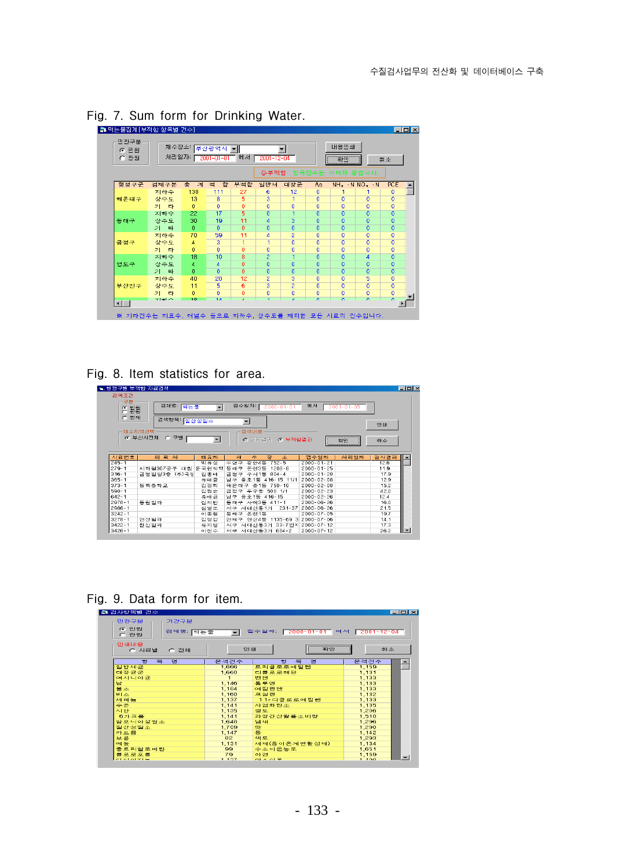

Fig. 7. Sum form for Drinking Water.

Fig. 8. Item statistics for area.

| 을 영성구별 부식업 사도감색                                                                                                       |                           |                          |                                      |                                |      | $-10x$           |
|-----------------------------------------------------------------------------------------------------------------------|---------------------------|--------------------------|--------------------------------------|--------------------------------|------|------------------|
| 검색조건<br>구분<br>뮠월<br>$\sigma$<br>'n.                                                                                   | 검체명: [먹는물                 | $\overline{\phantom{a}}$ | 접수일자: [<br>$2000 - 01 - 01$          | 에서<br>$2001 - 01 - 05$         |      |                  |
| 전체<br>$\epsilon$                                                                                                      | 검색할목: 질산성질소               |                          | $\overline{\phantom{a}}$             |                                | 인쇄   |                  |
|                                                                                                                       | 채수지역선택<br>☞ 부산시전체<br>○ 구별 |                          | 검색내용<br>⊙ 부적합결과<br>전체결과<br>$\subset$ | <br>확인<br>-------------------- | 刺소   |                  |
| 시료번호                                                                                                                  | 星<br>의<br>쳐               | 대표자                      | 烟<br>수<br>장<br>쇼                     | 접수일자<br>처리일자                   | 검사결과 | $\blacktriangle$ |
| $245 - 1$                                                                                                             |                           | 박유성                      | $752 - 5$<br>광안4동<br>수영구             | $2000 - 01 - 21$               | 12.6 |                  |
|                                                                                                                       |                           |                          |                                      |                                |      |                  |
| $279 - 1$                                                                                                             | 지하철307공구<br>대림            | 운공현씨댁                    | 동래구<br>온천3동<br>$1208 - 8$            | $2000 - 01 - 25$               | 11.9 |                  |
|                                                                                                                       | 금정빌딩3층 (주)국정              | 김종배                      | 구서1동<br>$804 - 4$<br>금정구             | $2000 - 01 - 28$               | 17.9 |                  |
|                                                                                                                       |                           | 유태금                      | 416-15 11/1<br>남구 음호1동               | $2000 - 02 - 08$               | 12.9 |                  |
|                                                                                                                       | 동백중학교                     | 김정희                      | 해운대구 중1동<br>$750 - 10$               | $2000 - 02 - 08$               | 15.2 |                  |
|                                                                                                                       |                           | 김원순                      | 두구동<br>508 1/1<br>금정구                | $2000 - 02 - 23$               | 42.0 |                  |
|                                                                                                                       |                           | 유태금                      | 남구 용호1동 416-15                       | $2000 - 02 - 26$               | 12.4 |                  |
|                                                                                                                       | 동원빌라                      | 김치만                      | 동래구 사직3동 411-1                       | $2000 - 06 - 26$               | 16.0 |                  |
|                                                                                                                       |                           | 김영조                      | $231 - 37$<br>서구 서대신동1가              | $2000 - 06 - 26$               | 21.5 |                  |
|                                                                                                                       |                           | 이종철                      | 온천1동<br>동대구                          | $2000 - 07 - 05$               | 19.7 |                  |
| $316 - 1$<br>$365 - 1$<br>$373 - 1$<br>$590 - 1$<br>$642 - 1$<br>$2978 - 1$<br>$2986 - 1$<br>$3242 - 1$<br>$3278 - 1$ |                           |                          | 연산4동<br>1135-69 3<br>연제구             | $2000 - 07 - 06$               | 14.1 |                  |
| $3422 - 1$                                                                                                            | 연산빌라<br>한신빌라              | 김영감<br>유지영               | 서구 서대신동3가 33-7번지                     | $2000 - 07 - 12$               | 17.3 |                  |

Fig. 9. Data form for item.

| 第 검사항목별 건수                                |        |                                    |       | $-10x$                   |
|-------------------------------------------|--------|------------------------------------|-------|--------------------------|
| 민관구분<br>기간구분<br>G 민원<br>검체명: [먹는물<br>C 관원 | $\sim$ | 접수일자: [2000-01-01] 에서 [2001-12-04] |       |                          |
| 안쇄내용<br>C 시료별<br>○ 전체                     | 인쇄     | 확인                                 | 취소    |                          |
| 목<br>명<br>對                               | 문석건수   | 록<br>雲<br>對                        | 문석건수  |                          |
| 일반세균                                      | 1,666  | 트리클로로에틸렌                           | 1.159 |                          |
| 대장균군                                      | 1,660  | 디클로로메탄                             | 1,131 |                          |
| 여시니아균                                     |        | 벤젠                                 | 1.133 |                          |
| 남                                         | 1,146  | 돌루엔                                | 1,133 |                          |
| 营企                                        | 1.184  | 예탈변젠                               | 1,133 |                          |
| 비소                                        | 1,160  | 크실렌                                | 1,132 |                          |
| 세례능                                       | 1,137  | 1.1-디클로로에틸렌                        | 1,133 |                          |
| 수은                                        | 1,141  | 사업화단소                              | 1,135 |                          |
| 시안.                                       | 1,135  | 경도                                 | 1,206 |                          |
| 6가크롬                                      | 1.141  | 과망간산칼륨소비량                          | 1.510 |                          |
| 암모니아성질소                                   | 1,648  | 냄새                                 | 1,296 |                          |
| 칠산성철소                                     | 1,709  | 肤                                  | 1.290 |                          |
| 카드뮴                                       | 1.147  | 통                                  | 1,142 |                          |
| 보론                                        | 82     | 색도                                 | 1,293 |                          |
| 페놀                                        | 1.131  | 세제(음이온계면활성제)                       | 1,134 |                          |
| 총트리할로메탄                                   | 99     | 수소이온농도                             | 1,651 |                          |
| 클로로포름                                     | 79     | 아연                                 | 1.159 |                          |
| <b>CLOTHER</b>                            | 4.497  | $nd \wedge nl \nabla$              | 1.100 | $\overline{\phantom{0}}$ |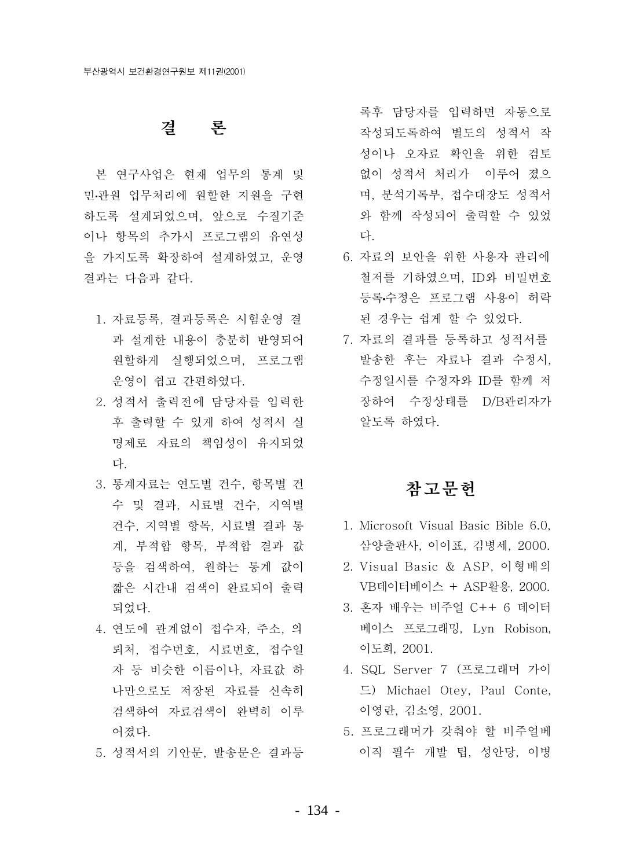# 결 론

본 연구사업은 현재 업무의 통계 및 민관원 업무처리에 원할한 지원을 구현 하도록 설계되었으며, 앞으로 수질기주 이나 항목의 추가시 프로그램의 유연성 을 가지도록 확장하여 설계하였고, 운영 결과는 다음과 같다.

- 1. 자료등록. 결과등록은 시험운영 결 과 설계한 내용이 충분히 반영되어 원할하게 실행되었으며, 프로그램 운영이 쉽고 간편하였다.
- 2. 성적서 출력전에 담당자를 입력한 후 출력할 수 있게 하여 성적서 실 명제로 자료의 책임성이 유지되었 다.
- 3. 통계자료는 연도별 건수, 항목별 건 수 및 결과, 시료별 건수, 지역별 건수, 지역별 항목, 시료별 결과 통 계, 부적합 항목, 부적합 결과 값 등을 검색하여. 워하는 통계 값이 짧은 시간내 검색이 완료되어 출력 되었다.
- 4. 연도에 관계없이 접수자, 주소, 의 뢰처, 접수번호, 시료번호, 접수일 자 등 비슷한 이름이나, 자료값 하 나만으로도 저장된 자료를 신속히 검색하여 자료검색이 완벽히 이루 어졌다.
- 5. 성적서의 기안문, 발송문은 결과등

록후 담당자를 입력하면 자동으로 작성되도록하여 별도의 성적서 작 성이나 오자료 확인을 위한 검토 없이 성적서 처리가 이루어 졌으 며, 분석기록부, 접수대장도 성적서 와 함께 작성되어 출력할 수 있었 다.

- 6. 자료의 보안을 위한 사용자 관리에 철저를 기하였으며, ID와 비밀번호 등록수정은 프로그램 사용이 허락 된 경우는 쉽게 할 수 있었다.
- 7. 자료의 결과를 등록하고 성적서를 발송한 후는 자료나 결과 수정시, 수정일시를 수정자와 ID를 함께 저 장하여 수정상태를 D/B관리자가 알도록 하였다.

# 참고문헌

- 1. Microsoft Visual Basic Bible 6.0, 삼양출판사, 이이표, 김병세, 2000.
- 2. Visual Basic & ASP, 이형배의 VB데이터베이스 + ASP활용, 2000.
- 3. 혼자 배우는 비주얼 C++ 6 데이터 베이스 프로그래밍, Lyn Robison, 이도희. 2001.
- 4. SQL Server 7 (프로그래머 가이 드) Michael Otey, Paul Conte, 이영란, 김소영, 2001.
- 5. 프로그래머가 갖춰야 할 비주얼베 이직 필수 개발 팁, 성안당, 이병